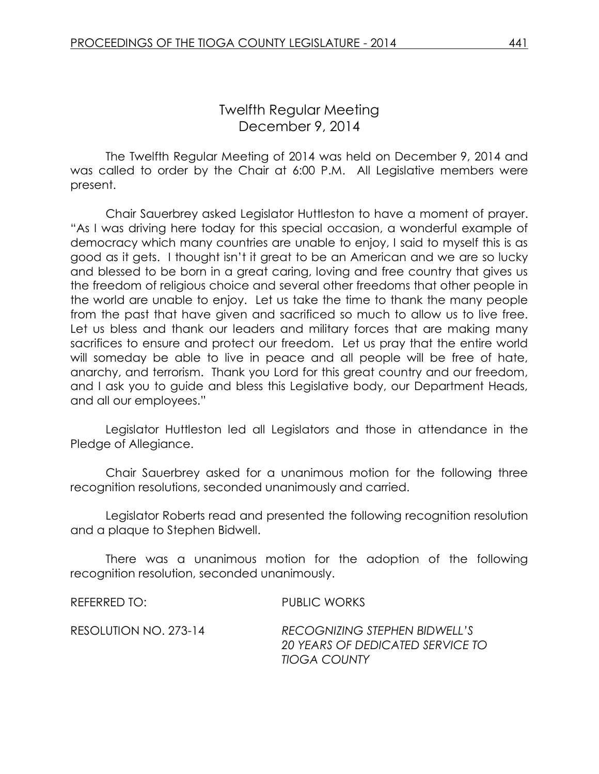The Twelfth Regular Meeting of 2014 was held on December 9, 2014 and was called to order by the Chair at 6:00 P.M. All Legislative members were present.

Chair Sauerbrey asked Legislator Huttleston to have a moment of prayer. "As I was driving here today for this special occasion, a wonderful example of democracy which many countries are unable to enjoy, I said to myself this is as good as it gets. I thought isn't it great to be an American and we are so lucky and blessed to be born in a great caring, loving and free country that gives us the freedom of religious choice and several other freedoms that other people in the world are unable to enjoy. Let us take the time to thank the many people from the past that have given and sacrificed so much to allow us to live free. Let us bless and thank our leaders and military forces that are making many sacrifices to ensure and protect our freedom. Let us pray that the entire world will someday be able to live in peace and all people will be free of hate, anarchy, and terrorism. Thank you Lord for this great country and our freedom, and I ask you to guide and bless this Legislative body, our Department Heads, and all our employees."

Legislator Huttleston led all Legislators and those in attendance in the Pledge of Allegiance.

Chair Sauerbrey asked for a unanimous motion for the following three recognition resolutions, seconded unanimously and carried.

Legislator Roberts read and presented the following recognition resolution and a plaque to Stephen Bidwell.

There was a unanimous motion for the adoption of the following recognition resolution, seconded unanimously.

REFERRED TO: PUBLIC WORKS

RESOLUTION NO. 273-14 *RECOGNIZING STEPHEN BIDWELL'S 20 YEARS OF DEDICATED SERVICE TO TIOGA COUNTY*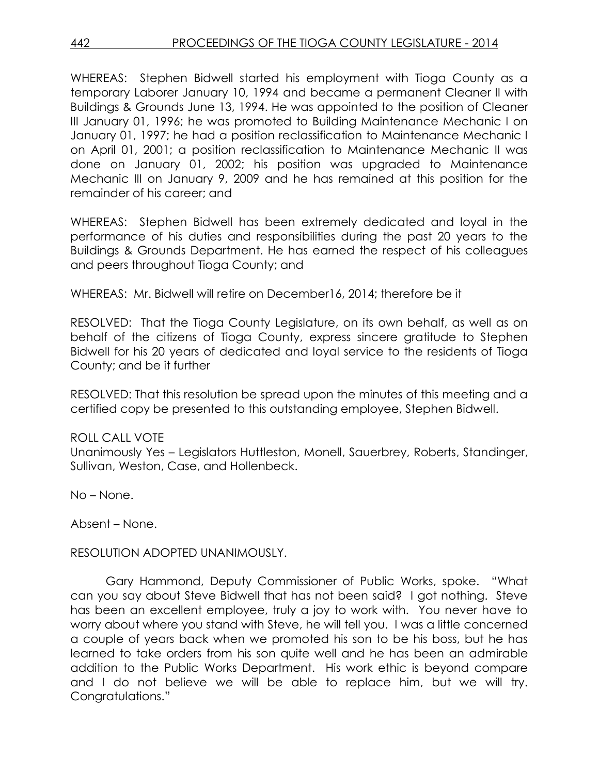WHEREAS: Stephen Bidwell started his employment with Tioga County as a temporary Laborer January 10, 1994 and became a permanent Cleaner II with Buildings & Grounds June 13, 1994. He was appointed to the position of Cleaner III January 01, 1996; he was promoted to Building Maintenance Mechanic I on January 01, 1997; he had a position reclassification to Maintenance Mechanic I on April 01, 2001; a position reclassification to Maintenance Mechanic II was done on January 01, 2002; his position was upgraded to Maintenance Mechanic III on January 9, 2009 and he has remained at this position for the remainder of his career; and

WHEREAS: Stephen Bidwell has been extremely dedicated and loyal in the performance of his duties and responsibilities during the past 20 years to the Buildings & Grounds Department. He has earned the respect of his colleagues and peers throughout Tioga County; and

WHEREAS: Mr. Bidwell will retire on December16, 2014; therefore be it

RESOLVED: That the Tioga County Legislature, on its own behalf, as well as on behalf of the citizens of Tioga County, express sincere gratitude to Stephen Bidwell for his 20 years of dedicated and loyal service to the residents of Tioga County; and be it further

RESOLVED: That this resolution be spread upon the minutes of this meeting and a certified copy be presented to this outstanding employee, Stephen Bidwell.

# ROLL CALL VOTE

Unanimously Yes – Legislators Huttleston, Monell, Sauerbrey, Roberts, Standinger, Sullivan, Weston, Case, and Hollenbeck.

No – None.

Absent – None.

RESOLUTION ADOPTED UNANIMOUSLY.

Gary Hammond, Deputy Commissioner of Public Works, spoke. "What can you say about Steve Bidwell that has not been said? I got nothing. Steve has been an excellent employee, truly a joy to work with. You never have to worry about where you stand with Steve, he will tell you. I was a little concerned a couple of years back when we promoted his son to be his boss, but he has learned to take orders from his son quite well and he has been an admirable addition to the Public Works Department. His work ethic is beyond compare and I do not believe we will be able to replace him, but we will try. Congratulations."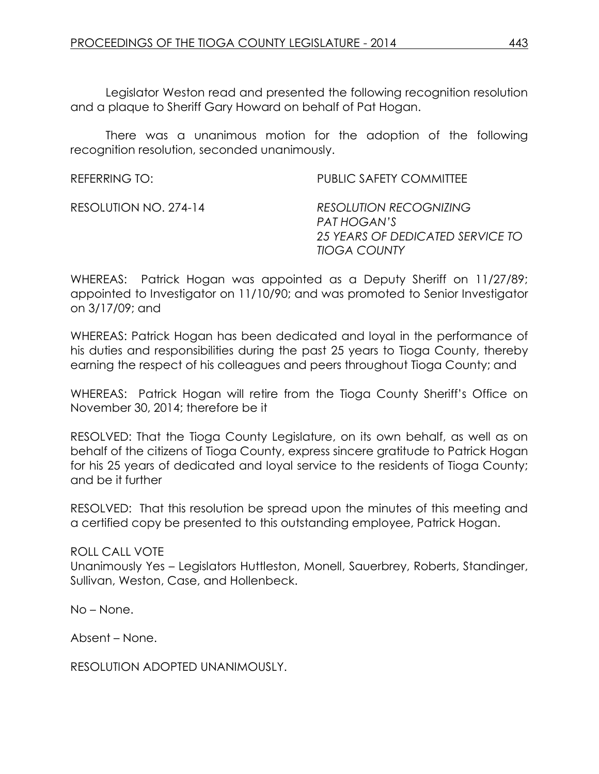Legislator Weston read and presented the following recognition resolution and a plaque to Sheriff Gary Howard on behalf of Pat Hogan.

There was a unanimous motion for the adoption of the following recognition resolution, seconded unanimously.

| REFERRING TO:         | <b>PUBLIC SAFETY COMMITTEE</b>                                                                          |
|-----------------------|---------------------------------------------------------------------------------------------------------|
| RESOLUTION NO. 274-14 | <b>RESOLUTION RECOGNIZING</b><br>PAT HOGAN'S<br>25 YEARS OF DEDICATED SERVICE TO<br><b>TIOGA COUNTY</b> |

WHEREAS: Patrick Hogan was appointed as a Deputy Sheriff on 11/27/89; appointed to Investigator on 11/10/90; and was promoted to Senior Investigator on 3/17/09; and

WHEREAS: Patrick Hogan has been dedicated and loyal in the performance of his duties and responsibilities during the past 25 years to Tioga County, thereby earning the respect of his colleagues and peers throughout Tioga County; and

WHEREAS: Patrick Hogan will retire from the Tioga County Sheriff's Office on November 30, 2014; therefore be it

RESOLVED: That the Tioga County Legislature, on its own behalf, as well as on behalf of the citizens of Tioga County, express sincere gratitude to Patrick Hogan for his 25 years of dedicated and loyal service to the residents of Tioga County; and be it further

RESOLVED: That this resolution be spread upon the minutes of this meeting and a certified copy be presented to this outstanding employee, Patrick Hogan.

ROLL CALL VOTE Unanimously Yes – Legislators Huttleston, Monell, Sauerbrey, Roberts, Standinger, Sullivan, Weston, Case, and Hollenbeck.

No – None.

Absent – None.

RESOLUTION ADOPTED UNANIMOUSLY.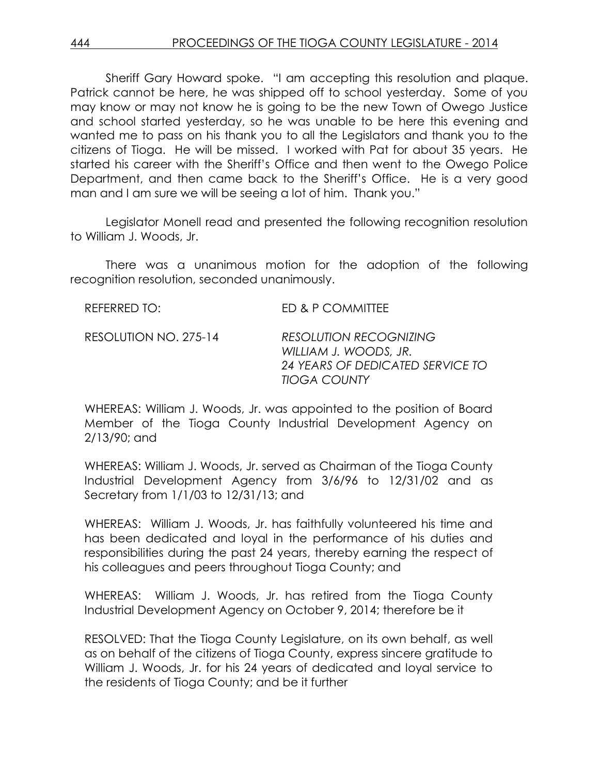Sheriff Gary Howard spoke. "I am accepting this resolution and plaque. Patrick cannot be here, he was shipped off to school yesterday. Some of you may know or may not know he is going to be the new Town of Owego Justice and school started yesterday, so he was unable to be here this evening and wanted me to pass on his thank you to all the Legislators and thank you to the citizens of Tioga. He will be missed. I worked with Pat for about 35 years. He started his career with the Sheriff's Office and then went to the Owego Police Department, and then came back to the Sheriff's Office. He is a very good man and I am sure we will be seeing a lot of him. Thank you."

Legislator Monell read and presented the following recognition resolution to William J. Woods, Jr.

There was a unanimous motion for the adoption of the following recognition resolution, seconded unanimously.

| REFERRED TO:          | ED & P COMMITTEE                                                                                                  |
|-----------------------|-------------------------------------------------------------------------------------------------------------------|
| RESOLUTION NO. 275-14 | <b>RESOLUTION RECOGNIZING</b><br>WILLIAM J. WOODS, JR.<br>24 YEARS OF DEDICATED SERVICE TO<br><b>TIOGA COUNTY</b> |

WHEREAS: William J. Woods, Jr. was appointed to the position of Board Member of the Tioga County Industrial Development Agency on 2/13/90; and

WHEREAS: William J. Woods, Jr. served as Chairman of the Tioga County Industrial Development Agency from 3/6/96 to 12/31/02 and as Secretary from 1/1/03 to 12/31/13; and

WHEREAS: William J. Woods, Jr. has faithfully volunteered his time and has been dedicated and loyal in the performance of his duties and responsibilities during the past 24 years, thereby earning the respect of his colleagues and peers throughout Tioga County; and

WHEREAS: William J. Woods, Jr. has retired from the Tioga County Industrial Development Agency on October 9, 2014; therefore be it

RESOLVED: That the Tioga County Legislature, on its own behalf, as well as on behalf of the citizens of Tioga County, express sincere gratitude to William J. Woods, Jr. for his 24 years of dedicated and loyal service to the residents of Tioga County; and be it further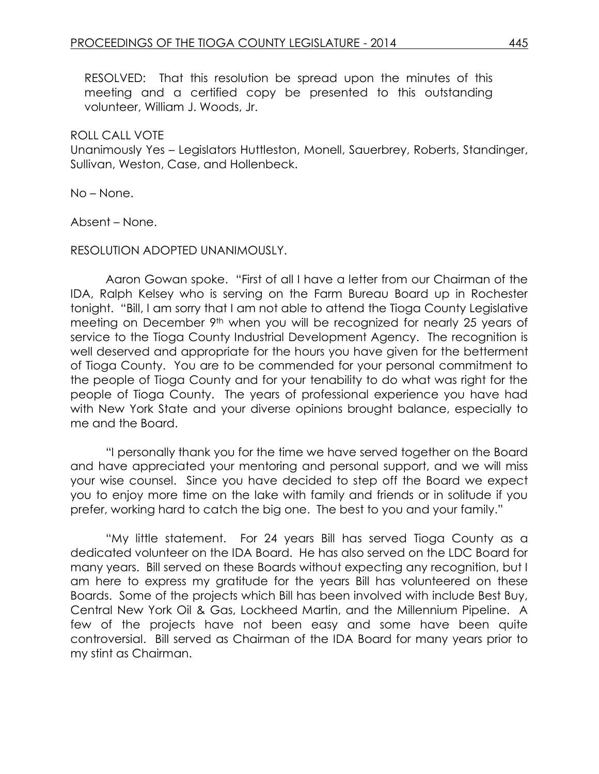RESOLVED: That this resolution be spread upon the minutes of this meeting and a certified copy be presented to this outstanding volunteer, William J. Woods, Jr.

#### ROLL CALL VOTE

Unanimously Yes – Legislators Huttleston, Monell, Sauerbrey, Roberts, Standinger, Sullivan, Weston, Case, and Hollenbeck.

No – None.

Absent – None.

#### RESOLUTION ADOPTED UNANIMOUSLY.

Aaron Gowan spoke. "First of all I have a letter from our Chairman of the IDA, Ralph Kelsey who is serving on the Farm Bureau Board up in Rochester tonight. "Bill, I am sorry that I am not able to attend the Tioga County Legislative meeting on December 9<sup>th</sup> when you will be recognized for nearly 25 years of service to the Tioga County Industrial Development Agency. The recognition is well deserved and appropriate for the hours you have given for the betterment of Tioga County. You are to be commended for your personal commitment to the people of Tioga County and for your tenability to do what was right for the people of Tioga County. The years of professional experience you have had with New York State and your diverse opinions brought balance, especially to me and the Board.

"I personally thank you for the time we have served together on the Board and have appreciated your mentoring and personal support, and we will miss your wise counsel. Since you have decided to step off the Board we expect you to enjoy more time on the lake with family and friends or in solitude if you prefer, working hard to catch the big one. The best to you and your family."

"My little statement. For 24 years Bill has served Tioga County as a dedicated volunteer on the IDA Board. He has also served on the LDC Board for many years. Bill served on these Boards without expecting any recognition, but I am here to express my gratitude for the years Bill has volunteered on these Boards. Some of the projects which Bill has been involved with include Best Buy, Central New York Oil & Gas, Lockheed Martin, and the Millennium Pipeline. A few of the projects have not been easy and some have been quite controversial. Bill served as Chairman of the IDA Board for many years prior to my stint as Chairman.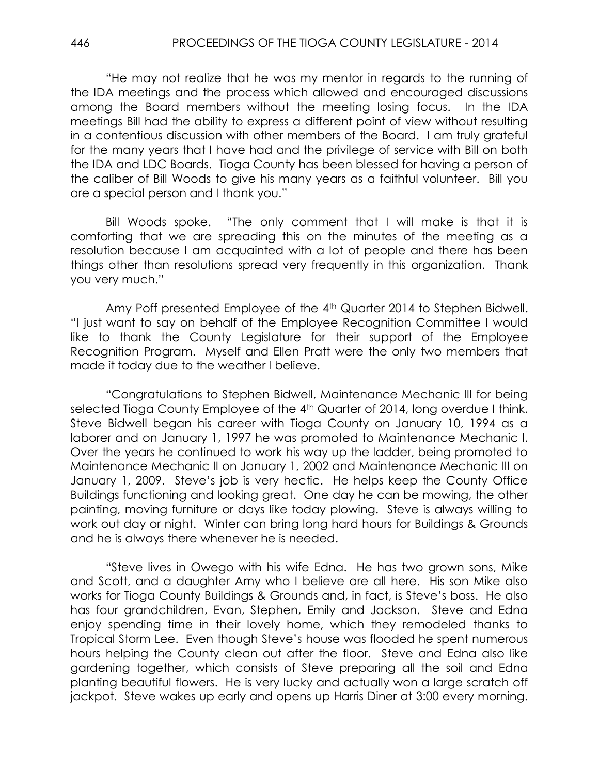"He may not realize that he was my mentor in regards to the running of the IDA meetings and the process which allowed and encouraged discussions among the Board members without the meeting losing focus. In the IDA meetings Bill had the ability to express a different point of view without resulting in a contentious discussion with other members of the Board. I am truly grateful for the many years that I have had and the privilege of service with Bill on both the IDA and LDC Boards. Tioga County has been blessed for having a person of the caliber of Bill Woods to give his many years as a faithful volunteer. Bill you are a special person and I thank you."

Bill Woods spoke. "The only comment that I will make is that it is comforting that we are spreading this on the minutes of the meeting as a resolution because I am acquainted with a lot of people and there has been things other than resolutions spread very frequently in this organization. Thank you very much."

Amy Poff presented Employee of the 4<sup>th</sup> Quarter 2014 to Stephen Bidwell. "I just want to say on behalf of the Employee Recognition Committee I would like to thank the County Legislature for their support of the Employee Recognition Program. Myself and Ellen Pratt were the only two members that made it today due to the weather I believe.

"Congratulations to Stephen Bidwell, Maintenance Mechanic III for being selected Tioga County Employee of the 4<sup>th</sup> Quarter of 2014, long overdue I think. Steve Bidwell began his career with Tioga County on January 10, 1994 as a laborer and on January 1, 1997 he was promoted to Maintenance Mechanic I. Over the years he continued to work his way up the ladder, being promoted to Maintenance Mechanic II on January 1, 2002 and Maintenance Mechanic III on January 1, 2009. Steve's job is very hectic. He helps keep the County Office Buildings functioning and looking great. One day he can be mowing, the other painting, moving furniture or days like today plowing. Steve is always willing to work out day or night. Winter can bring long hard hours for Buildings & Grounds and he is always there whenever he is needed.

"Steve lives in Owego with his wife Edna. He has two grown sons, Mike and Scott, and a daughter Amy who I believe are all here. His son Mike also works for Tioga County Buildings & Grounds and, in fact, is Steve's boss. He also has four grandchildren, Evan, Stephen, Emily and Jackson. Steve and Edna enjoy spending time in their lovely home, which they remodeled thanks to Tropical Storm Lee. Even though Steve's house was flooded he spent numerous hours helping the County clean out after the floor. Steve and Edna also like gardening together, which consists of Steve preparing all the soil and Edna planting beautiful flowers. He is very lucky and actually won a large scratch off jackpot. Steve wakes up early and opens up Harris Diner at 3:00 every morning.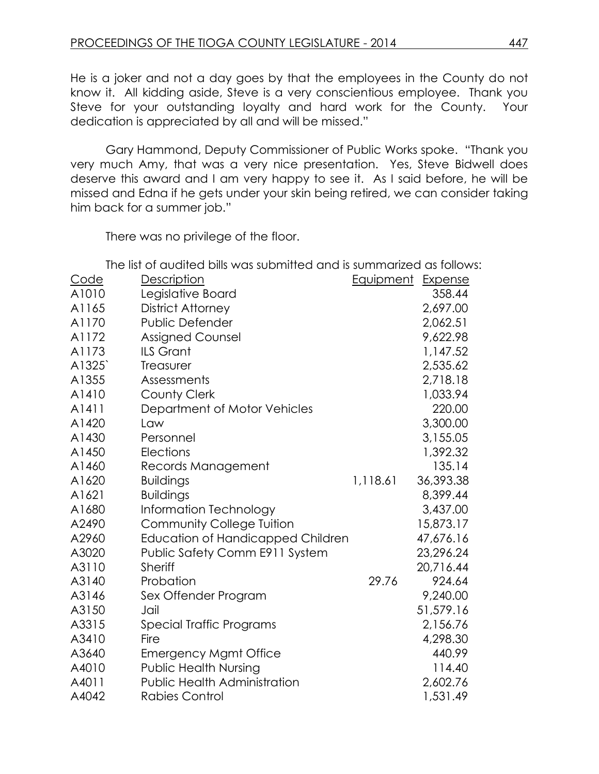He is a joker and not a day goes by that the employees in the County do not know it. All kidding aside, Steve is a very conscientious employee. Thank you Steve for your outstanding loyalty and hard work for the County. Your dedication is appreciated by all and will be missed."

Gary Hammond, Deputy Commissioner of Public Works spoke. "Thank you very much Amy, that was a very nice presentation. Yes, Steve Bidwell does deserve this award and I am very happy to see it. As I said before, he will be missed and Edna if he gets under your skin being retired, we can consider taking him back for a summer job."

There was no privilege of the floor.

The list of audited bills was submitted and is summarized as follows:

|             |                                          | <u>GITO IS SUITILIGITEU</u> |                |
|-------------|------------------------------------------|-----------------------------|----------------|
| <u>Code</u> | <b>Description</b>                       | <u>Equipment</u>            | <b>Expense</b> |
| A1010       | Legislative Board                        |                             | 358.44         |
| A1165       | <b>District Attorney</b>                 |                             | 2,697.00       |
| A1170       | <b>Public Defender</b>                   |                             | 2,062.51       |
| A1172       | <b>Assigned Counsel</b>                  |                             | 9,622.98       |
| A1173       | ILS Grant                                |                             | 1,147.52       |
| A1325       | Treasurer                                |                             | 2,535.62       |
| A1355       | Assessments                              |                             | 2,718.18       |
| A1410       | <b>County Clerk</b>                      |                             | 1,033.94       |
| A1411       | Department of Motor Vehicles             |                             | 220.00         |
| A1420       | Law                                      |                             | 3,300.00       |
| A1430       | Personnel                                |                             | 3,155.05       |
| A1450       | Elections                                |                             | 1,392.32       |
| A1460       | Records Management                       |                             | 135.14         |
| A1620       | <b>Buildings</b>                         | 1,118.61                    | 36,393.38      |
| A1621       | <b>Buildings</b>                         |                             | 8,399.44       |
| A1680       | <b>Information Technology</b>            |                             | 3,437.00       |
| A2490       | <b>Community College Tuition</b>         |                             | 15,873.17      |
| A2960       | <b>Education of Handicapped Children</b> |                             | 47,676.16      |
| A3020       | Public Safety Comm E911 System           |                             | 23,296.24      |
| A3110       | <b>Sheriff</b>                           |                             | 20,716.44      |
| A3140       | Probation                                | 29.76                       | 924.64         |
| A3146       | Sex Offender Program                     |                             | 9,240.00       |
| A3150       | Jail                                     |                             | 51,579.16      |
| A3315       | Special Traffic Programs                 |                             | 2,156.76       |
| A3410       | Fire                                     |                             | 4,298.30       |
| A3640       | <b>Emergency Mgmt Office</b>             |                             | 440.99         |
| A4010       | <b>Public Health Nursing</b>             |                             | 114.40         |
| A4011       | <b>Public Health Administration</b>      |                             | 2,602.76       |
| A4042       | <b>Rabies Control</b>                    |                             | 1,531.49       |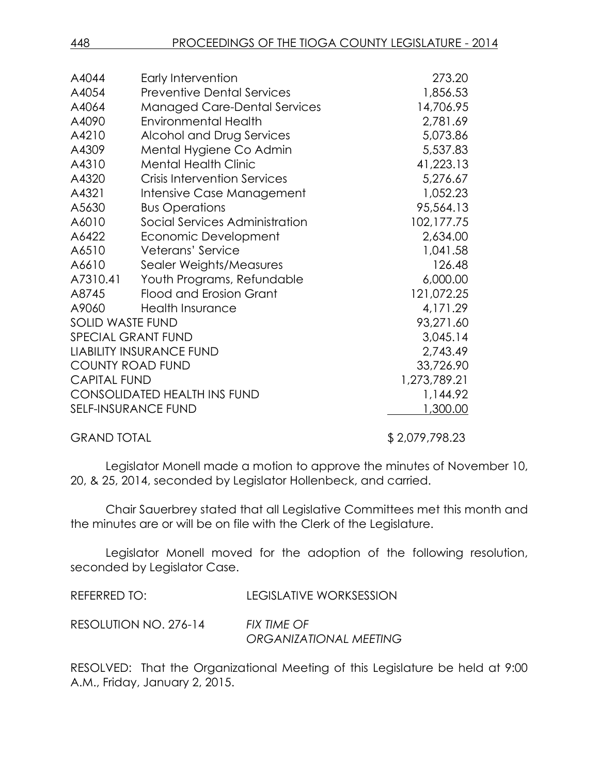| A4044                   | Early Intervention                  | 273.20       |
|-------------------------|-------------------------------------|--------------|
| A4054                   | <b>Preventive Dental Services</b>   | 1,856.53     |
| A4064                   | <b>Managed Care-Dental Services</b> | 14,706.95    |
| A4090                   | <b>Environmental Health</b>         | 2,781.69     |
| A4210                   | Alcohol and Drug Services           | 5,073.86     |
| A4309                   | Mental Hygiene Co Admin             | 5,537.83     |
| A4310                   | <b>Mental Health Clinic</b>         | 41,223.13    |
| A4320                   | <b>Crisis Intervention Services</b> | 5,276.67     |
| A4321                   | Intensive Case Management           | 1,052.23     |
| A5630                   | <b>Bus Operations</b>               | 95,564.13    |
| A6010                   | Social Services Administration      | 102,177.75   |
| A6422                   | Economic Development                | 2,634.00     |
| A6510                   | Veterans' Service                   | 1,041.58     |
| A6610                   | Sealer Weights/Measures             | 126.48       |
| A7310.41                | Youth Programs, Refundable          | 6,000.00     |
| A8745                   | Flood and Erosion Grant             | 121,072.25   |
| A9060                   | <b>Health Insurance</b>             | 4,171.29     |
| <b>SOLID WASTE FUND</b> |                                     | 93,271.60    |
| SPECIAL GRANT FUND      |                                     | 3,045.14     |
|                         | <b>LIABILITY INSURANCE FUND</b>     | 2,743.49     |
| <b>COUNTY ROAD FUND</b> |                                     | 33,726.90    |
| <b>CAPITAL FUND</b>     |                                     | 1,273,789.21 |
|                         | <b>CONSOLIDATED HEALTH INS FUND</b> | 1,144.92     |
|                         | <b>SELF-INSURANCE FUND</b>          | 1,300.00     |
|                         |                                     |              |

GRAND TOTAL \$ 2,079,798.23

Legislator Monell made a motion to approve the minutes of November 10, 20, & 25, 2014, seconded by Legislator Hollenbeck, and carried.

Chair Sauerbrey stated that all Legislative Committees met this month and the minutes are or will be on file with the Clerk of the Legislature.

Legislator Monell moved for the adoption of the following resolution, seconded by Legislator Case.

| REFERRED TO:          | LEGISLATIVE WORKSESSION                      |
|-----------------------|----------------------------------------------|
| RESOLUTION NO. 276-14 | <b>FIX TIME OF</b><br>ORGANIZATIONAL MEETING |

RESOLVED: That the Organizational Meeting of this Legislature be held at 9:00 A.M., Friday, January 2, 2015.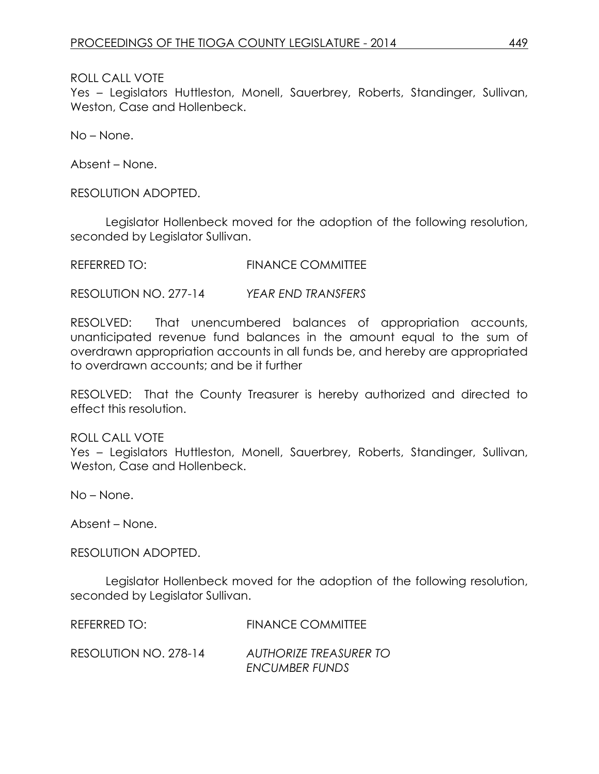Yes – Legislators Huttleston, Monell, Sauerbrey, Roberts, Standinger, Sullivan, Weston, Case and Hollenbeck.

No – None.

Absent – None.

RESOLUTION ADOPTED.

Legislator Hollenbeck moved for the adoption of the following resolution, seconded by Legislator Sullivan.

REFERRED TO: FINANCE COMMITTEE

RESOLUTION NO. 277-14 *YEAR END TRANSFERS*

RESOLVED: That unencumbered balances of appropriation accounts, unanticipated revenue fund balances in the amount equal to the sum of overdrawn appropriation accounts in all funds be, and hereby are appropriated to overdrawn accounts; and be it further

RESOLVED: That the County Treasurer is hereby authorized and directed to effect this resolution.

ROLL CALL VOTE

Yes – Legislators Huttleston, Monell, Sauerbrey, Roberts, Standinger, Sullivan, Weston, Case and Hollenbeck.

No – None.

Absent – None.

RESOLUTION ADOPTED.

Legislator Hollenbeck moved for the adoption of the following resolution, seconded by Legislator Sullivan.

| REFERRED TO:          | <b>FINANCE COMMITTEE</b>      |
|-----------------------|-------------------------------|
| RESOLUTION NO. 278-14 | <b>AUTHORIZE TREASURER TO</b> |
|                       | <b>ENCUMBER FUNDS</b>         |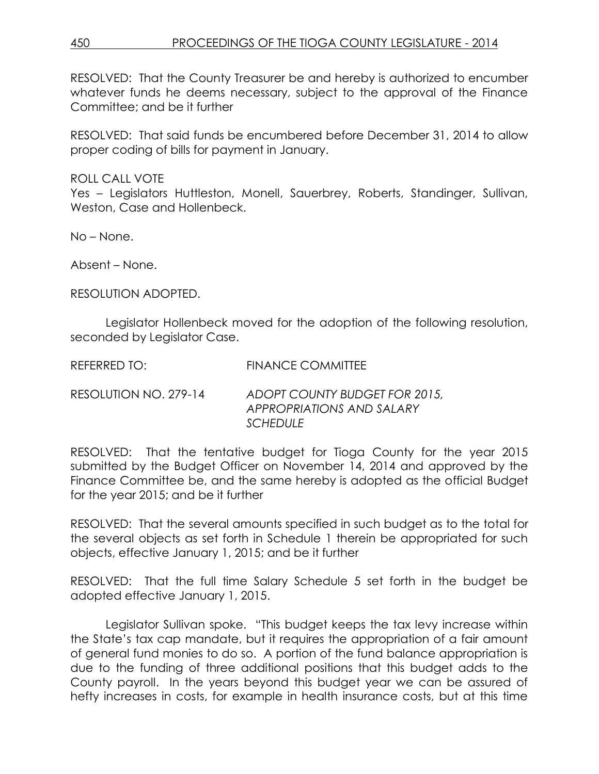RESOLVED: That the County Treasurer be and hereby is authorized to encumber whatever funds he deems necessary, subject to the approval of the Finance Committee; and be it further

RESOLVED: That said funds be encumbered before December 31, 2014 to allow proper coding of bills for payment in January.

ROLL CALL VOTE

Yes – Legislators Huttleston, Monell, Sauerbrey, Roberts, Standinger, Sullivan, Weston, Case and Hollenbeck.

No – None.

Absent – None.

RESOLUTION ADOPTED.

Legislator Hollenbeck moved for the adoption of the following resolution, seconded by Legislator Case.

RESOLUTION NO. 279-14 *ADOPT COUNTY BUDGET FOR 2015, APPROPRIATIONS AND SALARY SCHEDULE*

RESOLVED: That the tentative budget for Tioga County for the year 2015 submitted by the Budget Officer on November 14, 2014 and approved by the Finance Committee be, and the same hereby is adopted as the official Budget for the year 2015; and be it further

RESOLVED: That the several amounts specified in such budget as to the total for the several objects as set forth in Schedule 1 therein be appropriated for such objects, effective January 1, 2015; and be it further

RESOLVED: That the full time Salary Schedule 5 set forth in the budget be adopted effective January 1, 2015.

Legislator Sullivan spoke. "This budget keeps the tax levy increase within the State's tax cap mandate, but it requires the appropriation of a fair amount of general fund monies to do so. A portion of the fund balance appropriation is due to the funding of three additional positions that this budget adds to the County payroll. In the years beyond this budget year we can be assured of hefty increases in costs, for example in health insurance costs, but at this time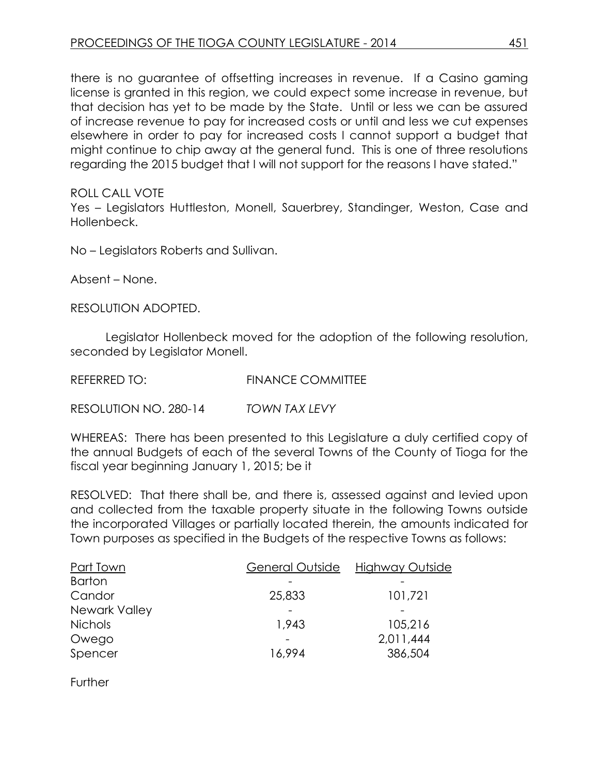there is no guarantee of offsetting increases in revenue. If a Casino gaming license is granted in this region, we could expect some increase in revenue, but that decision has yet to be made by the State. Until or less we can be assured of increase revenue to pay for increased costs or until and less we cut expenses elsewhere in order to pay for increased costs I cannot support a budget that might continue to chip away at the general fund. This is one of three resolutions regarding the 2015 budget that I will not support for the reasons I have stated."

ROLL CALL VOTE

Yes – Legislators Huttleston, Monell, Sauerbrey, Standinger, Weston, Case and Hollenbeck.

No – Legislators Roberts and Sullivan.

Absent – None.

RESOLUTION ADOPTED.

Legislator Hollenbeck moved for the adoption of the following resolution, seconded by Legislator Monell.

REFERRED TO: FINANCE COMMITTEE

RESOLUTION NO. 280-14 *TOWN TAX LEVY*

WHEREAS: There has been presented to this Legislature a duly certified copy of the annual Budgets of each of the several Towns of the County of Tioga for the fiscal year beginning January 1, 2015; be it

RESOLVED: That there shall be, and there is, assessed against and levied upon and collected from the taxable property situate in the following Towns outside the incorporated Villages or partially located therein, the amounts indicated for Town purposes as specified in the Budgets of the respective Towns as follows:

| General Outside | Highway Outside |
|-----------------|-----------------|
|                 |                 |
| 25,833          | 101,721         |
|                 |                 |
| 1,943           | 105,216         |
|                 | 2,011,444       |
| 16,994          | 386,504         |
|                 |                 |

Further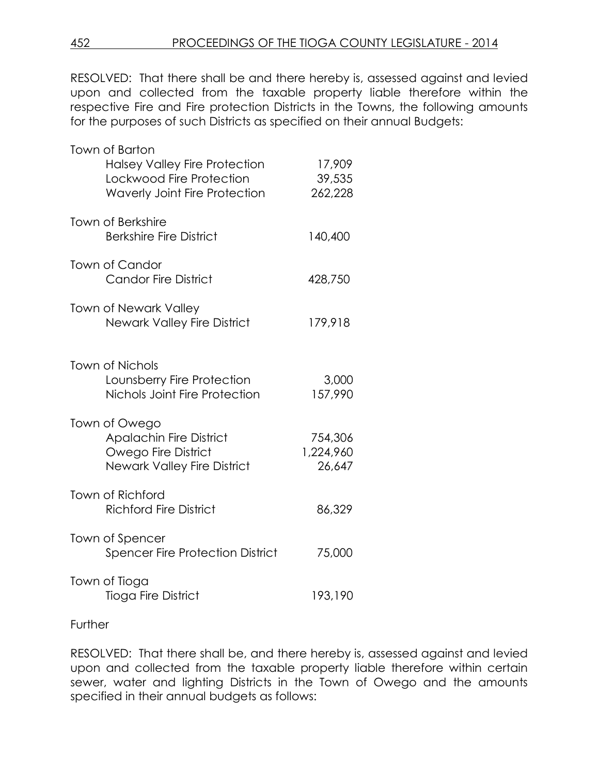RESOLVED: That there shall be and there hereby is, assessed against and levied upon and collected from the taxable property liable therefore within the respective Fire and Fire protection Districts in the Towns, the following amounts for the purposes of such Districts as specified on their annual Budgets:

| Town of Barton<br><b>Halsey Valley Fire Protection</b><br>Lockwood Fire Protection<br><b>Waverly Joint Fire Protection</b> | 17,909<br>39,535<br>262,228    |
|----------------------------------------------------------------------------------------------------------------------------|--------------------------------|
| <b>Town of Berkshire</b><br><b>Berkshire Fire District</b>                                                                 | 140,400                        |
| Town of Candor<br><b>Candor Fire District</b>                                                                              | 428,750                        |
| <b>Town of Newark Valley</b><br><b>Newark Valley Fire District</b>                                                         | 179,918                        |
| Town of Nichols<br>Lounsberry Fire Protection<br>Nichols Joint Fire Protection                                             | 3,000<br>157,990               |
| Town of Owego<br><b>Apalachin Fire District</b><br>Owego Fire District<br><b>Newark Valley Fire District</b>               | 754,306<br>1,224,960<br>26,647 |
| Town of Richford<br><b>Richford Fire District</b>                                                                          | 86,329                         |
| Town of Spencer<br><b>Spencer Fire Protection District</b>                                                                 | 75,000                         |
| Town of Tioga<br><b>Tioga Fire District</b>                                                                                | 193,190                        |

### **Further**

RESOLVED: That there shall be, and there hereby is, assessed against and levied upon and collected from the taxable property liable therefore within certain sewer, water and lighting Districts in the Town of Owego and the amounts specified in their annual budgets as follows: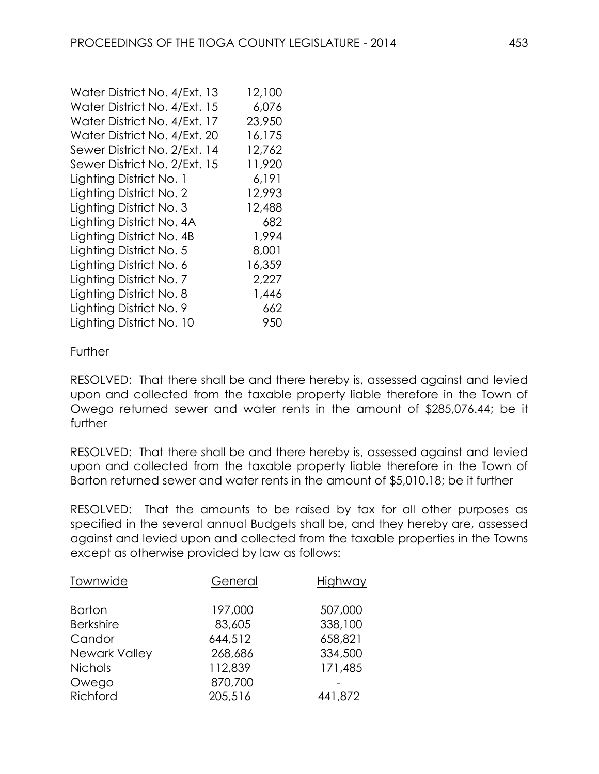| Water District No. 4/Ext. 13 | 12,100 |
|------------------------------|--------|
| Water District No. 4/Ext. 15 | 6,076  |
| Water District No. 4/Ext. 17 | 23,950 |
| Water District No. 4/Ext. 20 | 16,175 |
| Sewer District No. 2/Ext. 14 | 12,762 |
| Sewer District No. 2/Ext. 15 | 11,920 |
| Lighting District No. 1      | 6,191  |
| Lighting District No. 2      | 12,993 |
| Lighting District No. 3      | 12,488 |
| Lighting District No. 4A     | 682    |
| Lighting District No. 4B     | 1,994  |
| Lighting District No. 5      | 8,001  |
| Lighting District No. 6      | 16,359 |
| Lighting District No. 7      | 2,227  |
| Lighting District No. 8      | 1,446  |
| Lighting District No. 9      | 662    |
| Lighting District No. 10     | 950    |

### Further

RESOLVED: That there shall be and there hereby is, assessed against and levied upon and collected from the taxable property liable therefore in the Town of Owego returned sewer and water rents in the amount of \$285,076.44; be it further

RESOLVED: That there shall be and there hereby is, assessed against and levied upon and collected from the taxable property liable therefore in the Town of Barton returned sewer and water rents in the amount of \$5,010.18; be it further

RESOLVED: That the amounts to be raised by tax for all other purposes as specified in the several annual Budgets shall be, and they hereby are, assessed against and levied upon and collected from the taxable properties in the Towns except as otherwise provided by law as follows:

| Townwide         | General | Highway |
|------------------|---------|---------|
| <b>Barton</b>    | 197,000 | 507,000 |
| <b>Berkshire</b> | 83,605  | 338,100 |
| Candor           | 644,512 | 658,821 |
| Newark Valley    | 268,686 | 334,500 |
| <b>Nichols</b>   | 112,839 | 171,485 |
| Owego            | 870,700 |         |
| Richford         | 205,516 | 441,872 |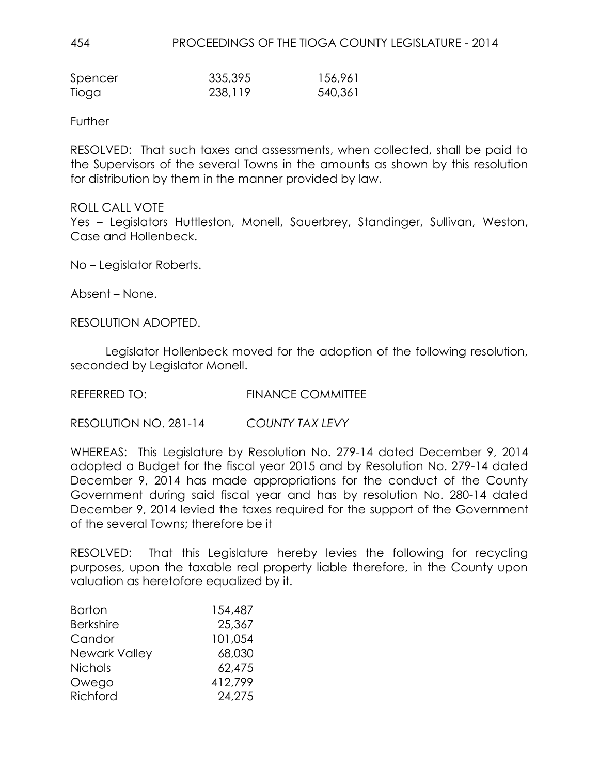| Spencer | 335,395 | 156,961 |
|---------|---------|---------|
| Tioga   | 238,119 | 540,361 |

Further

RESOLVED: That such taxes and assessments, when collected, shall be paid to the Supervisors of the several Towns in the amounts as shown by this resolution for distribution by them in the manner provided by law.

#### ROLL CALL VOTE

Yes – Legislators Huttleston, Monell, Sauerbrey, Standinger, Sullivan, Weston, Case and Hollenbeck.

No – Legislator Roberts.

Absent – None.

RESOLUTION ADOPTED.

Legislator Hollenbeck moved for the adoption of the following resolution, seconded by Legislator Monell.

REFERRED TO: FINANCE COMMITTEE

RESOLUTION NO. 281-14 *COUNTY TAX LEVY*

WHEREAS: This Legislature by Resolution No. 279-14 dated December 9, 2014 adopted a Budget for the fiscal year 2015 and by Resolution No. 279-14 dated December 9, 2014 has made appropriations for the conduct of the County Government during said fiscal year and has by resolution No. 280-14 dated December 9, 2014 levied the taxes required for the support of the Government of the several Towns; therefore be it

RESOLVED: That this Legislature hereby levies the following for recycling purposes, upon the taxable real property liable therefore, in the County upon valuation as heretofore equalized by it.

| <b>Barton</b>    | 154,487 |
|------------------|---------|
| <b>Berkshire</b> | 25,367  |
| Candor           | 101,054 |
| Newark Valley    | 68,030  |
| <b>Nichols</b>   | 62,475  |
| Owego            | 412,799 |
| Richford         | 24,275  |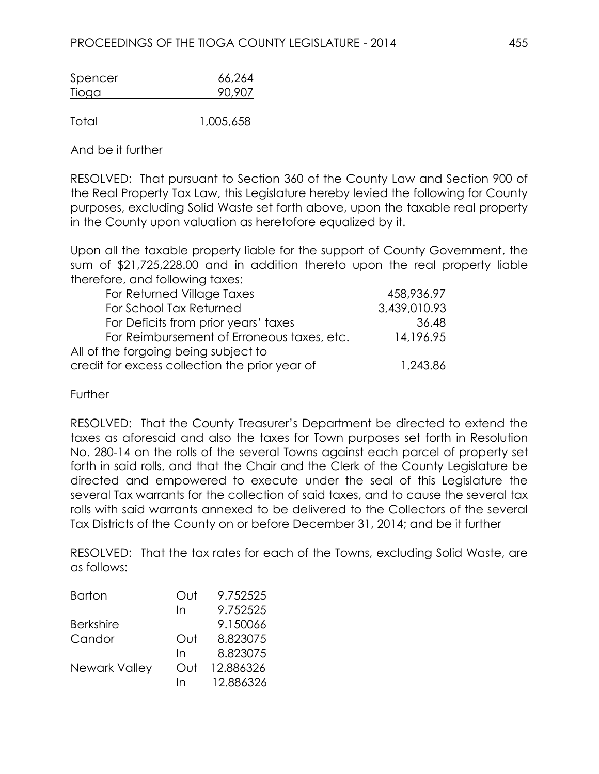| Spencer      | 66,264 |
|--------------|--------|
| <u>Tioga</u> | 90,907 |

Total 1,005,658

And be it further

RESOLVED: That pursuant to Section 360 of the County Law and Section 900 of the Real Property Tax Law, this Legislature hereby levied the following for County purposes, excluding Solid Waste set forth above, upon the taxable real property in the County upon valuation as heretofore equalized by it.

Upon all the taxable property liable for the support of County Government, the sum of \$21,725,228.00 and in addition thereto upon the real property liable therefore, and following taxes:

| For Returned Village Taxes                     | 458,936.97   |
|------------------------------------------------|--------------|
| For School Tax Returned                        | 3,439,010.93 |
| For Deficits from prior years' taxes           | 36.48        |
| For Reimbursement of Erroneous taxes, etc.     | 14,196.95    |
| All of the forgoing being subject to           |              |
| credit for excess collection the prior year of | 1,243.86     |

**Further** 

RESOLVED: That the County Treasurer's Department be directed to extend the taxes as aforesaid and also the taxes for Town purposes set forth in Resolution No. 280-14 on the rolls of the several Towns against each parcel of property set forth in said rolls, and that the Chair and the Clerk of the County Legislature be directed and empowered to execute under the seal of this Legislature the several Tax warrants for the collection of said taxes, and to cause the several tax rolls with said warrants annexed to be delivered to the Collectors of the several Tax Districts of the County on or before December 31, 2014; and be it further

RESOLVED: That the tax rates for each of the Towns, excluding Solid Waste, are as follows:

| <b>Barton</b>        | Out | 9.752525  |
|----------------------|-----|-----------|
|                      | In  | 9.752525  |
| <b>Berkshire</b>     |     | 9.150066  |
| Candor               | Out | 8.823075  |
|                      | In  | 8.823075  |
| <b>Newark Valley</b> | Out | 12.886326 |
|                      | In  | 12.886326 |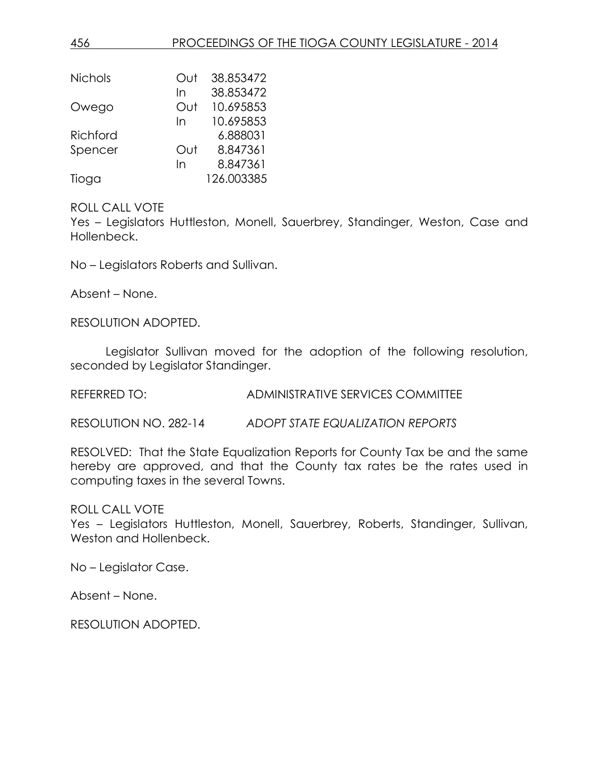| 456            | <b>PROCEEDINGS OF THE TIOGA COUNTY LEGISLATURE - 2014</b> |
|----------------|-----------------------------------------------------------|
|                |                                                           |
| <b>Nichols</b> | 38.853472<br>Out                                          |
|                | 38.853472<br>In                                           |
| Owego          | 10.695853<br>Out                                          |
|                | 10.695853<br>In                                           |
| Richford       | 6.888031                                                  |
| Spencer        | 8.847361<br>Out                                           |
|                | 8.847361<br>In                                            |
| Tioga          | 126.003385                                                |

Yes – Legislators Huttleston, Monell, Sauerbrey, Standinger, Weston, Case and Hollenbeck.

No – Legislators Roberts and Sullivan.

Absent – None.

RESOLUTION ADOPTED.

Legislator Sullivan moved for the adoption of the following resolution, seconded by Legislator Standinger.

REFERRED TO: ADMINISTRATIVE SERVICES COMMITTEE

RESOLUTION NO. 282-14 *ADOPT STATE EQUALIZATION REPORTS*

RESOLVED: That the State Equalization Reports for County Tax be and the same hereby are approved, and that the County tax rates be the rates used in computing taxes in the several Towns.

### ROLL CALL VOTE

Yes – Legislators Huttleston, Monell, Sauerbrey, Roberts, Standinger, Sullivan, Weston and Hollenbeck.

No – Legislator Case.

Absent – None.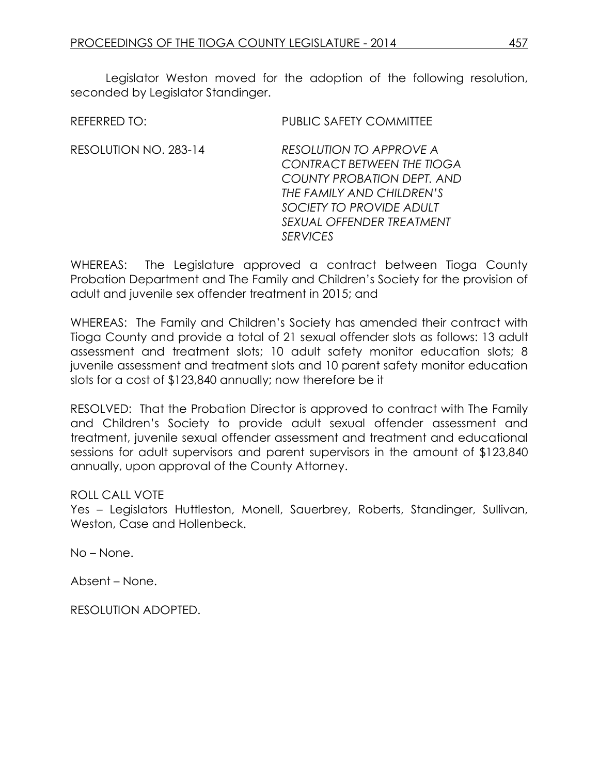Legislator Weston moved for the adoption of the following resolution, seconded by Legislator Standinger.

| <b>REFERRED TO:</b>   | <b>PUBLIC SAFETY COMMITTEE</b>                                                                                                                                                                                    |
|-----------------------|-------------------------------------------------------------------------------------------------------------------------------------------------------------------------------------------------------------------|
| RESOLUTION NO. 283-14 | <b>RESOLUTION TO APPROVE A</b><br><b>CONTRACT BETWEEN THE TIOGA</b><br><b>COUNTY PROBATION DEPT. AND</b><br>THE FAMILY AND CHILDREN'S<br>SOCIETY TO PROVIDE ADULT<br>SEXUAL OFFENDER TREATMENT<br><b>SERVICES</b> |
|                       |                                                                                                                                                                                                                   |

WHEREAS: The Legislature approved a contract between Tioga County Probation Department and The Family and Children's Society for the provision of adult and juvenile sex offender treatment in 2015; and

WHEREAS: The Family and Children's Society has amended their contract with Tioga County and provide a total of 21 sexual offender slots as follows: 13 adult assessment and treatment slots; 10 adult safety monitor education slots; 8 juvenile assessment and treatment slots and 10 parent safety monitor education slots for a cost of \$123,840 annually; now therefore be it

RESOLVED: That the Probation Director is approved to contract with The Family and Children's Society to provide adult sexual offender assessment and treatment, juvenile sexual offender assessment and treatment and educational sessions for adult supervisors and parent supervisors in the amount of \$123,840 annually, upon approval of the County Attorney.

ROLL CALL VOTE

Yes – Legislators Huttleston, Monell, Sauerbrey, Roberts, Standinger, Sullivan, Weston, Case and Hollenbeck.

No – None.

Absent – None.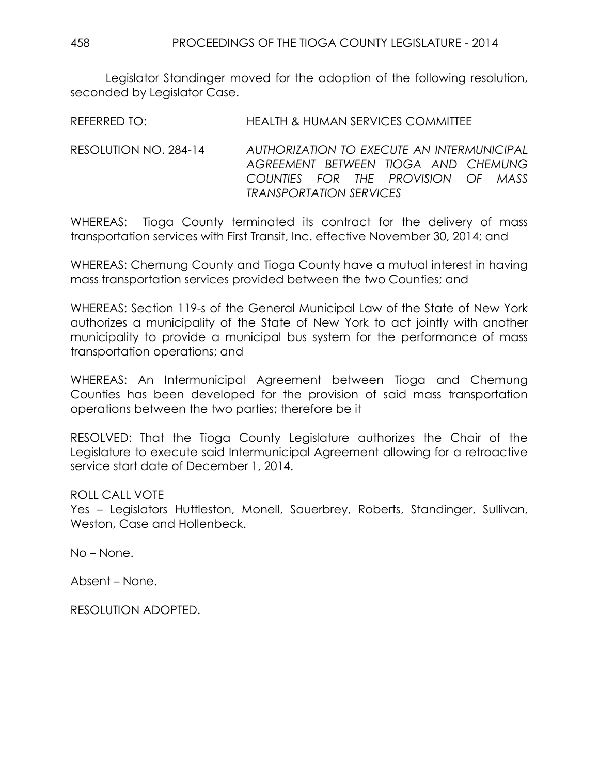Legislator Standinger moved for the adoption of the following resolution, seconded by Legislator Case.

REFERRED TO: HEALTH & HUMAN SERVICES COMMITTEE

RESOLUTION NO. 284-14 *AUTHORIZATION TO EXECUTE AN INTERMUNICIPAL AGREEMENT BETWEEN TIOGA AND CHEMUNG COUNTIES FOR THE PROVISION OF MASS TRANSPORTATION SERVICES*

WHEREAS: Tioga County terminated its contract for the delivery of mass transportation services with First Transit, Inc. effective November 30, 2014; and

WHEREAS: Chemung County and Tioga County have a mutual interest in having mass transportation services provided between the two Counties; and

WHEREAS: Section 119-s of the General Municipal Law of the State of New York authorizes a municipality of the State of New York to act jointly with another municipality to provide a municipal bus system for the performance of mass transportation operations; and

WHEREAS: An Intermunicipal Agreement between Tioga and Chemung Counties has been developed for the provision of said mass transportation operations between the two parties; therefore be it

RESOLVED: That the Tioga County Legislature authorizes the Chair of the Legislature to execute said Intermunicipal Agreement allowing for a retroactive service start date of December 1, 2014.

ROLL CALL VOTE

Yes – Legislators Huttleston, Monell, Sauerbrey, Roberts, Standinger, Sullivan, Weston, Case and Hollenbeck.

No – None.

Absent – None.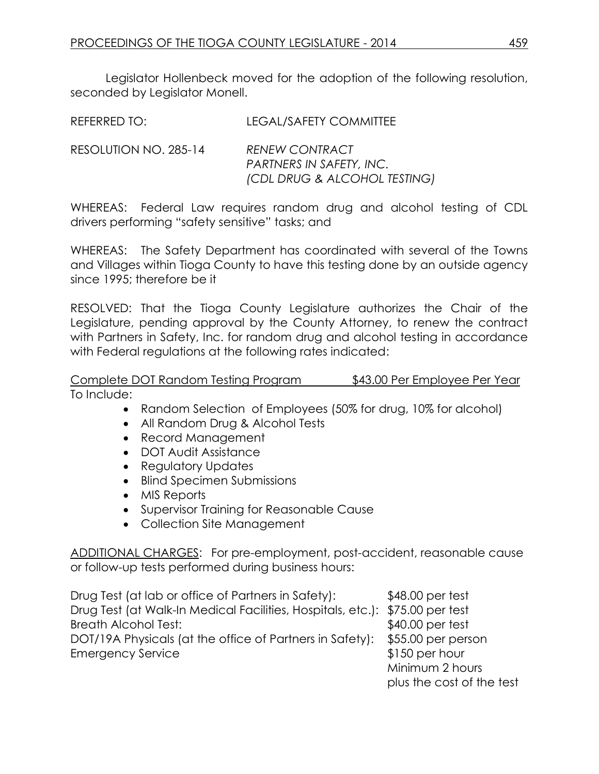Legislator Hollenbeck moved for the adoption of the following resolution, seconded by Legislator Monell.

| REFERRED TO: |  | <b>LEGAL/SAFETY COMMITTEE</b> |  |  |  |
|--------------|--|-------------------------------|--|--|--|
|              |  |                               |  |  |  |

RESOLUTION NO. 285-14 *RENEW CONTRACT PARTNERS IN SAFETY, INC. (CDL DRUG & ALCOHOL TESTING)*

WHEREAS: Federal Law requires random drug and alcohol testing of CDL drivers performing "safety sensitive" tasks; and

WHEREAS: The Safety Department has coordinated with several of the Towns and Villages within Tioga County to have this testing done by an outside agency since 1995; therefore be it

RESOLVED: That the Tioga County Legislature authorizes the Chair of the Legislature, pending approval by the County Attorney, to renew the contract with Partners in Safety, Inc. for random drug and alcohol testing in accordance with Federal regulations at the following rates indicated:

Complete DOT Random Testing Program \$43.00 Per Employee Per Year To Include:

- Random Selection of Employees (50% for drug, 10% for alcohol)
- All Random Drug & Alcohol Tests
- Record Management
- DOT Audit Assistance
- Regulatory Updates
- Blind Specimen Submissions
- MIS Reports
- Supervisor Training for Reasonable Cause
- Collection Site Management

ADDITIONAL CHARGES: For pre-employment, post-accident, reasonable cause or follow-up tests performed during business hours:

Drug Test (at lab or office of Partners in Safety): \$48.00 per test Drug Test (at Walk-In Medical Facilities, Hospitals, etc.): \$75.00 per test Breath Alcohol Test:  $$40.00$  per test DOT/19A Physicals (at the office of Partners in Safety): \$55.00 per person Emergency Service  $$150$  per hour Minimum 2 hours

plus the cost of the test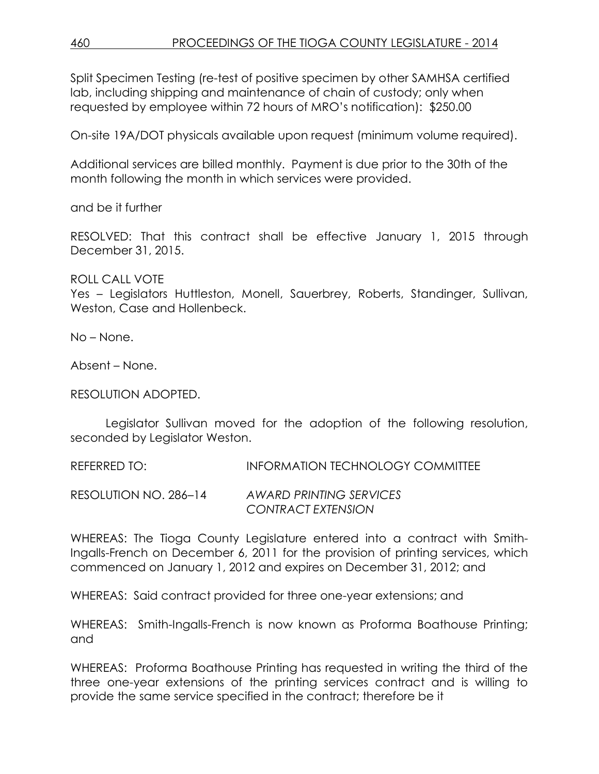Split Specimen Testing (re-test of positive specimen by other SAMHSA certified lab, including shipping and maintenance of chain of custody; only when requested by employee within 72 hours of MRO's notification): \$250.00

On-site 19A/DOT physicals available upon request (minimum volume required).

Additional services are billed monthly. Payment is due prior to the 30th of the month following the month in which services were provided.

and be it further

RESOLVED: That this contract shall be effective January 1, 2015 through December 31, 2015.

ROLL CALL VOTE

Yes – Legislators Huttleston, Monell, Sauerbrey, Roberts, Standinger, Sullivan, Weston, Case and Hollenbeck.

No – None.

Absent – None.

RESOLUTION ADOPTED.

Legislator Sullivan moved for the adoption of the following resolution, seconded by Legislator Weston.

REFERRED TO: INFORMATION TECHNOLOGY COMMITTEE

RESOLUTION NO. 286–14 *AWARD PRINTING SERVICES CONTRACT EXTENSION*

WHEREAS: The Tioga County Legislature entered into a contract with Smith-Ingalls-French on December 6, 2011 for the provision of printing services, which commenced on January 1, 2012 and expires on December 31, 2012; and

WHEREAS: Said contract provided for three one-year extensions; and

WHEREAS: Smith-Ingalls-French is now known as Proforma Boathouse Printing; and

WHEREAS: Proforma Boathouse Printing has requested in writing the third of the three one-year extensions of the printing services contract and is willing to provide the same service specified in the contract; therefore be it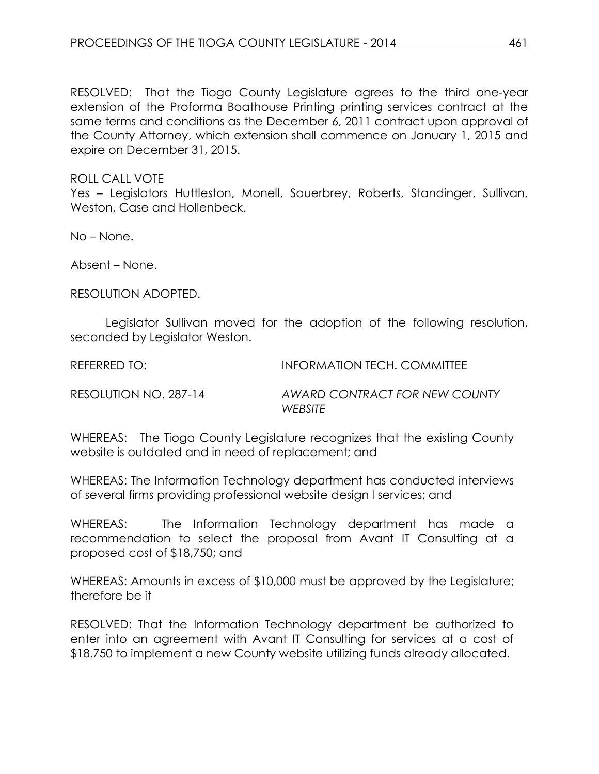RESOLVED: That the Tioga County Legislature agrees to the third one-year extension of the Proforma Boathouse Printing printing services contract at the same terms and conditions as the December 6, 2011 contract upon approval of the County Attorney, which extension shall commence on January 1, 2015 and expire on December 31, 2015.

### ROLL CALL VOTE

Yes – Legislators Huttleston, Monell, Sauerbrey, Roberts, Standinger, Sullivan, Weston, Case and Hollenbeck.

No – None.

Absent – None.

RESOLUTION ADOPTED.

Legislator Sullivan moved for the adoption of the following resolution, seconded by Legislator Weston.

REFERRED TO: INFORMATION TECH. COMMITTEE

RESOLUTION NO. 287-14 *AWARD CONTRACT FOR NEW COUNTY WEBSITE*

WHEREAS: The Tioga County Legislature recognizes that the existing County website is outdated and in need of replacement; and

WHEREAS: The Information Technology department has conducted interviews of several firms providing professional website design l services; and

WHEREAS: The Information Technology department has made a recommendation to select the proposal from Avant IT Consulting at a proposed cost of \$18,750; and

WHEREAS: Amounts in excess of \$10,000 must be approved by the Legislature; therefore be it

RESOLVED: That the Information Technology department be authorized to enter into an agreement with Avant IT Consulting for services at a cost of \$18,750 to implement a new County website utilizing funds already allocated.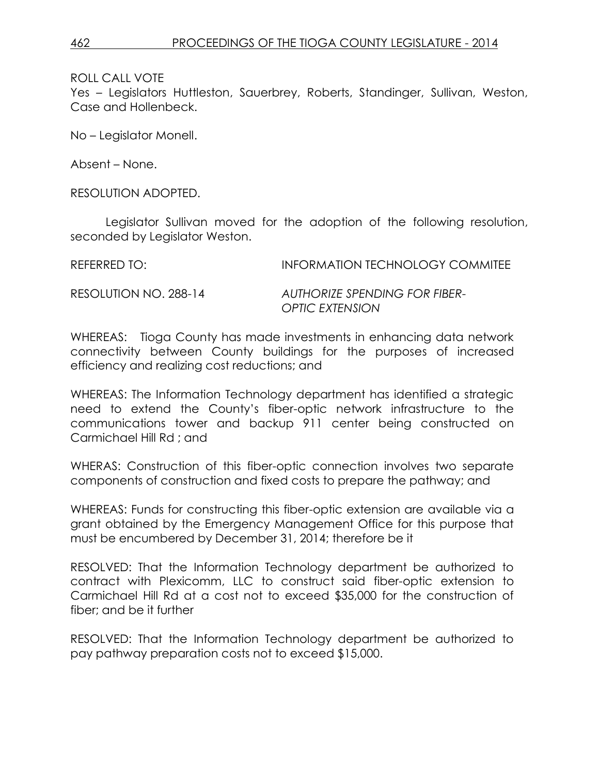Yes – Legislators Huttleston, Sauerbrey, Roberts, Standinger, Sullivan, Weston, Case and Hollenbeck.

No – Legislator Monell.

Absent – None.

RESOLUTION ADOPTED.

Legislator Sullivan moved for the adoption of the following resolution, seconded by Legislator Weston.

REFERRED TO: **INFORMATION TECHNOLOGY COMMITEE** 

RESOLUTION NO. 288-14 *AUTHORIZE SPENDING FOR FIBER-OPTIC EXTENSION*

WHEREAS: Tioga County has made investments in enhancing data network connectivity between County buildings for the purposes of increased efficiency and realizing cost reductions; and

WHEREAS: The Information Technology department has identified a strategic need to extend the County's fiber-optic network infrastructure to the communications tower and backup 911 center being constructed on Carmichael Hill Rd ; and

WHERAS: Construction of this fiber-optic connection involves two separate components of construction and fixed costs to prepare the pathway; and

WHEREAS: Funds for constructing this fiber-optic extension are available via a grant obtained by the Emergency Management Office for this purpose that must be encumbered by December 31, 2014; therefore be it

RESOLVED: That the Information Technology department be authorized to contract with Plexicomm, LLC to construct said fiber-optic extension to Carmichael Hill Rd at a cost not to exceed \$35,000 for the construction of fiber; and be it further

RESOLVED: That the Information Technology department be authorized to pay pathway preparation costs not to exceed \$15,000.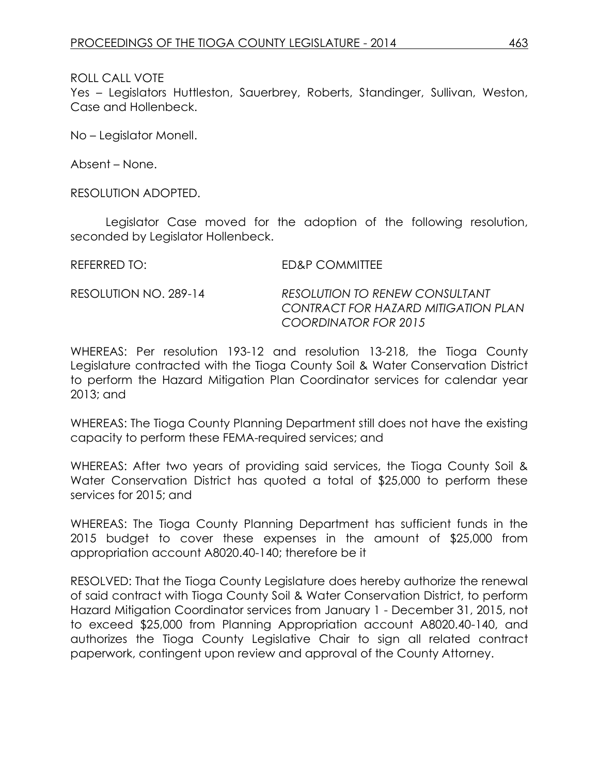Yes – Legislators Huttleston, Sauerbrey, Roberts, Standinger, Sullivan, Weston, Case and Hollenbeck.

No – Legislator Monell.

Absent – None.

RESOLUTION ADOPTED.

Legislator Case moved for the adoption of the following resolution, seconded by Legislator Hollenbeck.

REFERRED TO: ED&P COMMITTEE RESOLUTION NO. 289-14 *RESOLUTION TO RENEW CONSULTANT CONTRACT FOR HAZARD MITIGATION PLAN COORDINATOR FOR 2015*

WHEREAS: Per resolution 193-12 and resolution 13-218, the Tioga County Legislature contracted with the Tioga County Soil & Water Conservation District to perform the Hazard Mitigation Plan Coordinator services for calendar year 2013; and

WHEREAS: The Tioga County Planning Department still does not have the existing capacity to perform these FEMA-required services; and

WHEREAS: After two years of providing said services, the Tioga County Soil & Water Conservation District has quoted a total of \$25,000 to perform these services for 2015; and

WHEREAS: The Tioga County Planning Department has sufficient funds in the 2015 budget to cover these expenses in the amount of \$25,000 from appropriation account A8020.40-140; therefore be it

RESOLVED: That the Tioga County Legislature does hereby authorize the renewal of said contract with Tioga County Soil & Water Conservation District, to perform Hazard Mitigation Coordinator services from January 1 - December 31, 2015, not to exceed \$25,000 from Planning Appropriation account A8020.40-140, and authorizes the Tioga County Legislative Chair to sign all related contract paperwork, contingent upon review and approval of the County Attorney.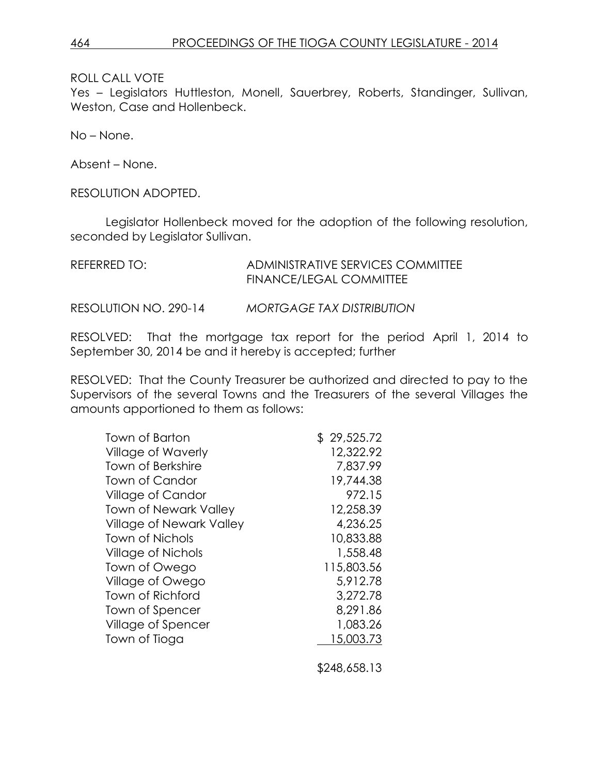Yes - Legislators Huttleston, Monell, Sauerbrey, Roberts, Standinger, Sullivan, Weston, Case and Hollenbeck.

No – None.

Absent – None.

RESOLUTION ADOPTED.

Legislator Hollenbeck moved for the adoption of the following resolution, seconded by Legislator Sullivan.

| REFERRED TO: | ADMINISTRATIVE SERVICES COMMITTEE |
|--------------|-----------------------------------|
|              | <b>FINANCE/LEGAL COMMITTEE</b>    |
|              |                                   |

RESOLUTION NO. 290-14 *MORTGAGE TAX DISTRIBUTION*

RESOLVED: That the mortgage tax report for the period April 1, 2014 to September 30, 2014 be and it hereby is accepted; further

RESOLVED: That the County Treasurer be authorized and directed to pay to the Supervisors of the several Towns and the Treasurers of the several Villages the amounts apportioned to them as follows:

| Town of Barton                  | \$29,525.72 |
|---------------------------------|-------------|
| <b>Village of Waverly</b>       | 12,322.92   |
| <b>Town of Berkshire</b>        | 7,837.99    |
| <b>Town of Candor</b>           | 19,744.38   |
| <b>Village of Candor</b>        | 972.15      |
| <b>Town of Newark Valley</b>    | 12,258.39   |
| <b>Village of Newark Valley</b> | 4,236.25    |
| Town of Nichols                 | 10,833.88   |
| <b>Village of Nichols</b>       | 1,558.48    |
| Town of Owego                   | 115,803.56  |
| Village of Owego                | 5,912.78    |
| Town of Richford                | 3,272.78    |
| Town of Spencer                 | 8,291.86    |
| Village of Spencer              | 1,083.26    |
| Town of Tioga                   | 15,003.73   |
|                                 |             |

\$248,658.13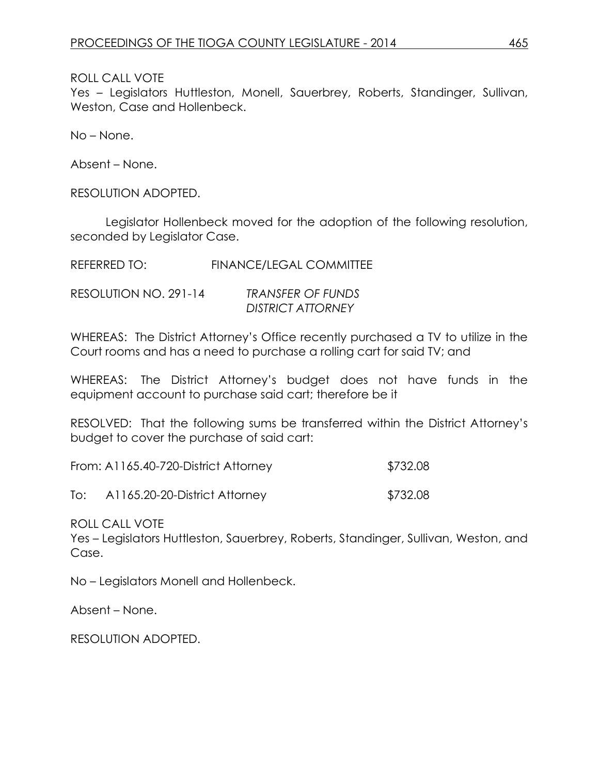Yes – Legislators Huttleston, Monell, Sauerbrey, Roberts, Standinger, Sullivan, Weston, Case and Hollenbeck.

No – None.

Absent – None.

RESOLUTION ADOPTED.

Legislator Hollenbeck moved for the adoption of the following resolution, seconded by Legislator Case.

REFERRED TO: FINANCE/LEGAL COMMITTEE

| RESOLUTION NO. 291-14 | <b>TRANSFER OF FUNDS</b> |
|-----------------------|--------------------------|
|                       | <b>DISTRICT ATTORNEY</b> |

WHEREAS: The District Attorney's Office recently purchased a TV to utilize in the Court rooms and has a need to purchase a rolling cart for said TV; and

WHEREAS: The District Attorney's budget does not have funds in the equipment account to purchase said cart; therefore be it

RESOLVED: That the following sums be transferred within the District Attorney's budget to cover the purchase of said cart:

| From: A1165.40-720-District Attorney | \$732.08 |
|--------------------------------------|----------|
|--------------------------------------|----------|

To: A1165.20-20-District Attorney \$732.08

ROLL CALL VOTE

Yes – Legislators Huttleston, Sauerbrey, Roberts, Standinger, Sullivan, Weston, and Case.

No – Legislators Monell and Hollenbeck.

Absent – None.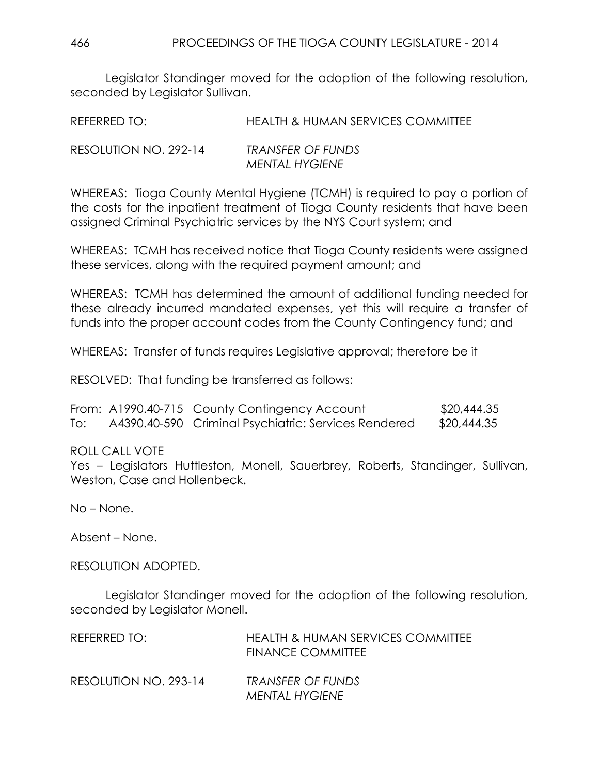466 PROCEEDINGS OF THE TIOGA COUNTY LEGISLATURE - 2014

Legislator Standinger moved for the adoption of the following resolution, seconded by Legislator Sullivan.

| REFERRED TO: | <b>HEALTH &amp; HUMAN SERVICES COMMITTEE</b> |  |
|--------------|----------------------------------------------|--|
|--------------|----------------------------------------------|--|

| RESOLUTION NO. 292-14 | <b>TRANSFER OF FUNDS</b> |
|-----------------------|--------------------------|
|                       | <b>MENTAL HYGIENE</b>    |

WHEREAS: Tioga County Mental Hygiene (TCMH) is required to pay a portion of the costs for the inpatient treatment of Tioga County residents that have been assigned Criminal Psychiatric services by the NYS Court system; and

WHEREAS: TCMH has received notice that Tioga County residents were assigned these services, along with the required payment amount; and

WHEREAS: TCMH has determined the amount of additional funding needed for these already incurred mandated expenses, yet this will require a transfer of funds into the proper account codes from the County Contingency fund; and

WHEREAS: Transfer of funds requires Legislative approval; therefore be it

RESOLVED: That funding be transferred as follows:

|     | From: A1990.40-715 County Contingency Account        | \$20,444.35 |
|-----|------------------------------------------------------|-------------|
| To: | A4390.40-590 Criminal Psychiatric: Services Rendered | \$20,444.35 |

ROLL CALL VOTE

Yes – Legislators Huttleston, Monell, Sauerbrey, Roberts, Standinger, Sullivan, Weston, Case and Hollenbeck.

No – None.

Absent – None.

RESOLUTION ADOPTED.

Legislator Standinger moved for the adoption of the following resolution, seconded by Legislator Monell.

| REFERRED TO:          | <b>HEALTH &amp; HUMAN SERVICES COMMITTEE</b><br>FINANCE COMMITTEE |
|-----------------------|-------------------------------------------------------------------|
| RESOLUTION NO. 293-14 | TRANSFER OF FUNDS<br><b>MENTAL HYGIENE</b>                        |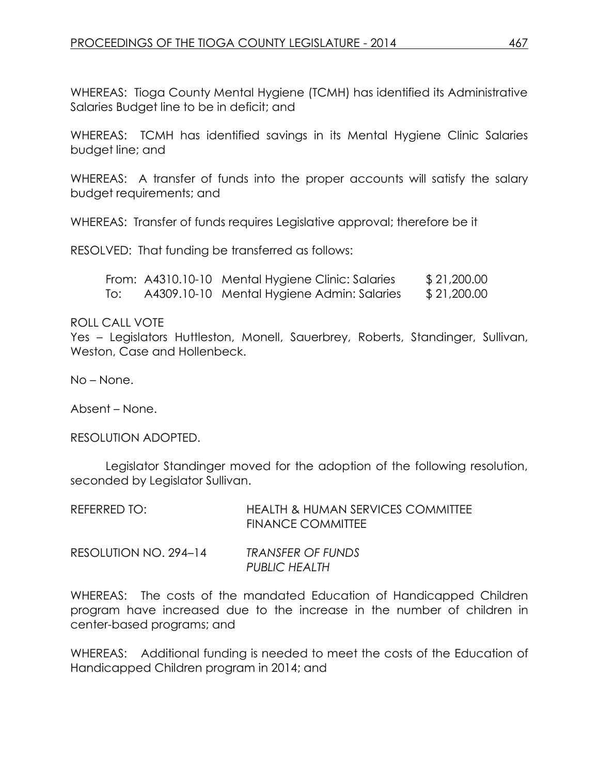WHEREAS: Tioga County Mental Hygiene (TCMH) has identified its Administrative Salaries Budget line to be in deficit; and

WHEREAS: TCMH has identified savings in its Mental Hygiene Clinic Salaries budget line; and

WHEREAS: A transfer of funds into the proper accounts will satisfy the salary budget requirements; and

WHEREAS: Transfer of funds requires Legislative approval; therefore be it

RESOLVED: That funding be transferred as follows:

|     | From: A4310.10-10 Mental Hygiene Clinic: Salaries | \$21,200.00 |
|-----|---------------------------------------------------|-------------|
| To: | A4309.10-10 Mental Hygiene Admin: Salaries        | \$21,200.00 |

### ROLL CALL VOTE

Yes – Legislators Huttleston, Monell, Sauerbrey, Roberts, Standinger, Sullivan, Weston, Case and Hollenbeck.

No – None.

Absent – None.

RESOLUTION ADOPTED.

Legislator Standinger moved for the adoption of the following resolution, seconded by Legislator Sullivan.

| REFERRED TO:          | HEALTH & HUMAN SERVICES COMMITTEE<br><b>FINANCE COMMITTEE</b> |
|-----------------------|---------------------------------------------------------------|
| RESOLUTION NO. 294–14 | TRANSFER OF FUNDS<br>PUBLIC HEALTH                            |

WHEREAS: The costs of the mandated Education of Handicapped Children program have increased due to the increase in the number of children in center-based programs; and

WHEREAS: Additional funding is needed to meet the costs of the Education of Handicapped Children program in 2014; and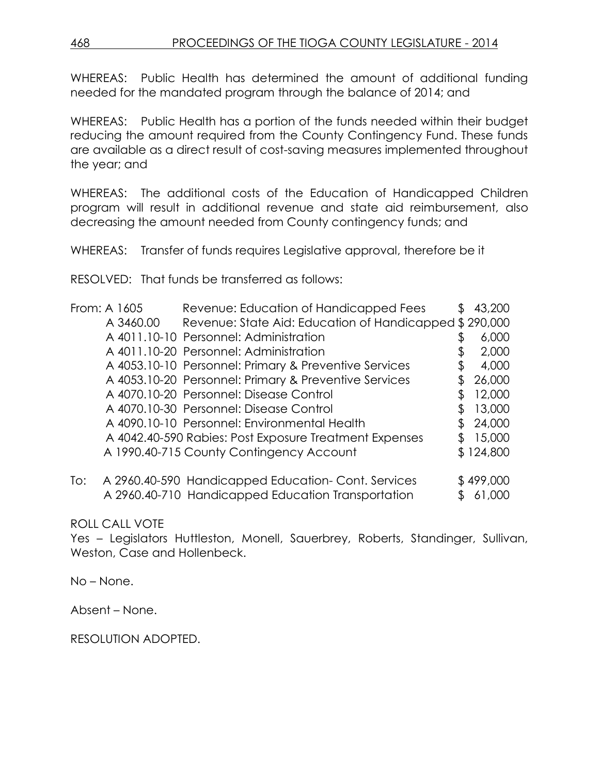468 PROCEEDINGS OF THE TIOGA COUNTY LEGISLATURE - 2014

WHEREAS: Public Health has determined the amount of additional funding needed for the mandated program through the balance of 2014; and

WHEREAS: Public Health has a portion of the funds needed within their budget reducing the amount required from the County Contingency Fund. These funds are available as a direct result of cost-saving measures implemented throughout the year; and

WHEREAS: The additional costs of the Education of Handicapped Children program will result in additional revenue and state aid reimbursement, also decreasing the amount needed from County contingency funds; and

WHEREAS: Transfer of funds requires Legislative approval, therefore be it

RESOLVED: That funds be transferred as follows:

| From: A 1605 |           | Revenue: Education of Handicapped Fees                 | \$<br>43,200 |
|--------------|-----------|--------------------------------------------------------|--------------|
|              | A 3460.00 | Revenue: State Aid: Education of Handicapped \$290,000 |              |
|              |           | A 4011.10-10 Personnel: Administration                 | 6,000        |
|              |           | A 4011.10-20 Personnel: Administration                 | 2,000        |
|              |           | A 4053.10-10 Personnel: Primary & Preventive Services  | 4,000        |
|              |           | A 4053.10-20 Personnel: Primary & Preventive Services  | 26,000       |
|              |           | A 4070.10-20 Personnel: Disease Control                | 12,000       |
|              |           | A 4070.10-30 Personnel: Disease Control                | 13,000       |
|              |           | A 4090.10-10 Personnel: Environmental Health           | 24,000       |
|              |           | A 4042.40-590 Rabies: Post Exposure Treatment Expenses | 15,000       |
|              |           | A 1990.40-715 County Contingency Account               | \$124,800    |
| To:          |           | A 2960.40-590 Handicapped Education-Cont. Services     | \$499,000    |
|              |           | A 2960.40-710 Handicapped Education Transportation     | 61,000       |

# ROLL CALL VOTE

Yes – Legislators Huttleston, Monell, Sauerbrey, Roberts, Standinger, Sullivan, Weston, Case and Hollenbeck.

No – None.

Absent – None.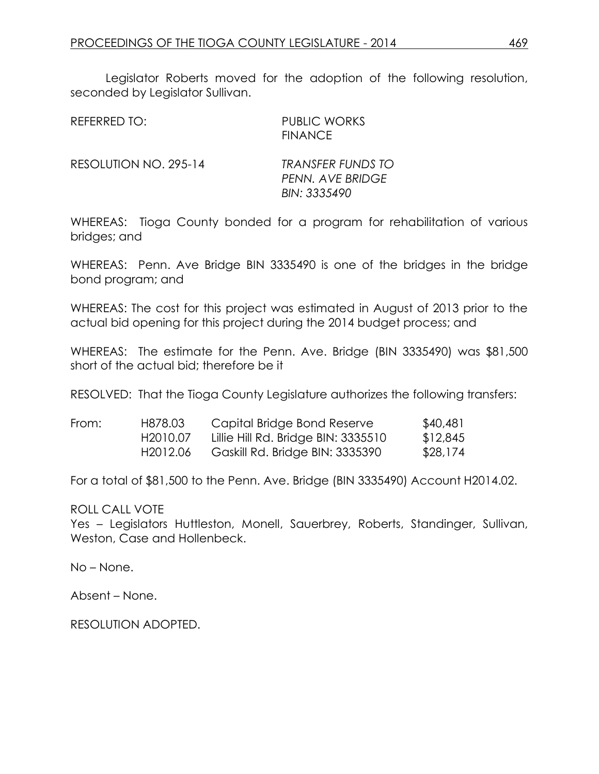Legislator Roberts moved for the adoption of the following resolution, seconded by Legislator Sullivan.

| REFERRED TO: | <b>PUBLIC WORKS</b> |
|--------------|---------------------|
|              | <b>FINANCE</b>      |
|              |                     |

RESOLUTION NO. 295-14 *TRANSFER FUNDS TO*

*PENN. AVE BRIDGE BIN: 3335490*

WHEREAS: Tioga County bonded for a program for rehabilitation of various bridges; and

WHEREAS: Penn. Ave Bridge BIN 3335490 is one of the bridges in the bridge bond program; and

WHEREAS: The cost for this project was estimated in August of 2013 prior to the actual bid opening for this project during the 2014 budget process; and

WHEREAS: The estimate for the Penn. Ave. Bridge (BIN 3335490) was \$81,500 short of the actual bid; therefore be it

RESOLVED: That the Tioga County Legislature authorizes the following transfers:

| From: | H878.03               | Capital Bridge Bond Reserve         | \$40,481 |
|-------|-----------------------|-------------------------------------|----------|
|       | H <sub>2010.07</sub>  | Lillie Hill Rd. Bridge BIN: 3335510 | \$12,845 |
|       | H <sub>20</sub> 12.06 | Gaskill Rd. Bridge BIN: 3335390     | \$28,174 |

For a total of \$81,500 to the Penn. Ave. Bridge (BIN 3335490) Account H2014.02.

ROLL CALL VOTE

Yes – Legislators Huttleston, Monell, Sauerbrey, Roberts, Standinger, Sullivan, Weston, Case and Hollenbeck.

No – None.

Absent – None.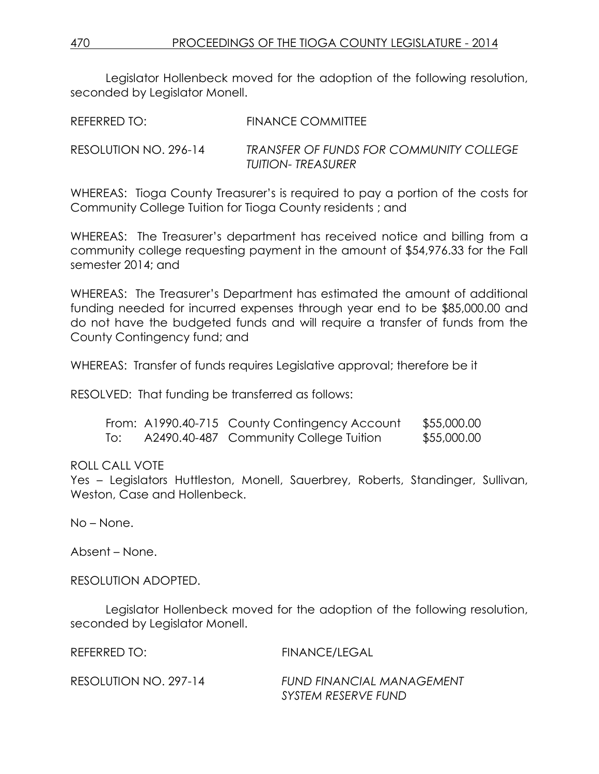Legislator Hollenbeck moved for the adoption of the following resolution, seconded by Legislator Monell.

| REFERRED TO:          | <b>FINANCE COMMITTEE</b>                                      |
|-----------------------|---------------------------------------------------------------|
| RESOLUTION NO. 296-14 | TRANSFER OF FUNDS FOR COMMUNITY COLLEGE<br>TUITION- TREASURER |

WHEREAS: Tioga County Treasurer's is required to pay a portion of the costs for Community College Tuition for Tioga County residents ; and

WHEREAS: The Treasurer's department has received notice and billing from a community college requesting payment in the amount of \$54,976.33 for the Fall semester 2014; and

WHEREAS: The Treasurer's Department has estimated the amount of additional funding needed for incurred expenses through year end to be \$85,000.00 and do not have the budgeted funds and will require a transfer of funds from the County Contingency fund; and

WHEREAS: Transfer of funds requires Legislative approval; therefore be it

RESOLVED: That funding be transferred as follows:

|     | From: A1990.40-715 County Contingency Account | \$55,000.00 |
|-----|-----------------------------------------------|-------------|
| To: | A2490.40-487 Community College Tuition        | \$55,000.00 |

# ROLL CALL VOTE

Yes – Legislators Huttleston, Monell, Sauerbrey, Roberts, Standinger, Sullivan, Weston, Case and Hollenbeck.

No – None.

Absent – None.

RESOLUTION ADOPTED.

Legislator Hollenbeck moved for the adoption of the following resolution, seconded by Legislator Monell.

| REFERRED TO:          | FINANCE/LEGAL             |
|-----------------------|---------------------------|
| RESOLUTION NO. 297-14 | FUND FINANCIAL MANAGEMENT |
|                       | SYSTEM RESERVE FUND       |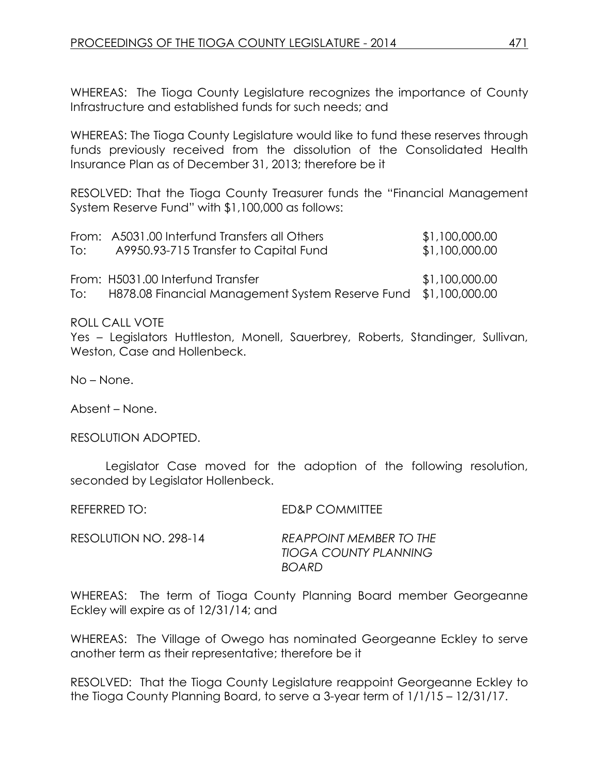WHEREAS: The Tioga County Legislature recognizes the importance of County Infrastructure and established funds for such needs; and

WHEREAS: The Tioga County Legislature would like to fund these reserves through funds previously received from the dissolution of the Consolidated Health Insurance Plan as of December 31, 2013; therefore be it

RESOLVED: That the Tioga County Treasurer funds the "Financial Management System Reserve Fund" with \$1,100,000 as follows:

|     | From: A5031.00 Interfund Transfers all Others                   | \$1,100,000.00 |
|-----|-----------------------------------------------------------------|----------------|
| To: | A9950.93-715 Transfer to Capital Fund                           | \$1,100,000.00 |
|     |                                                                 |                |
|     | From: H5031.00 Interfund Transfer                               | \$1,100,000.00 |
| To: | H878.08 Financial Management System Reserve Fund \$1,100,000.00 |                |

ROLL CALL VOTE

Yes – Legislators Huttleston, Monell, Sauerbrey, Roberts, Standinger, Sullivan, Weston, Case and Hollenbeck.

No – None.

Absent – None.

RESOLUTION ADOPTED.

Legislator Case moved for the adoption of the following resolution, seconded by Legislator Hollenbeck.

REFERRED TO: ED&P COMMITTEE RESOLUTION NO. 298-14 *REAPPOINT MEMBER TO THE TIOGA COUNTY PLANNING BOARD*

WHEREAS: The term of Tioga County Planning Board member Georgeanne Eckley will expire as of 12/31/14; and

WHEREAS: The Village of Owego has nominated Georgeanne Eckley to serve another term as their representative; therefore be it

RESOLVED: That the Tioga County Legislature reappoint Georgeanne Eckley to the Tioga County Planning Board, to serve a 3-year term of 1/1/15 – 12/31/17.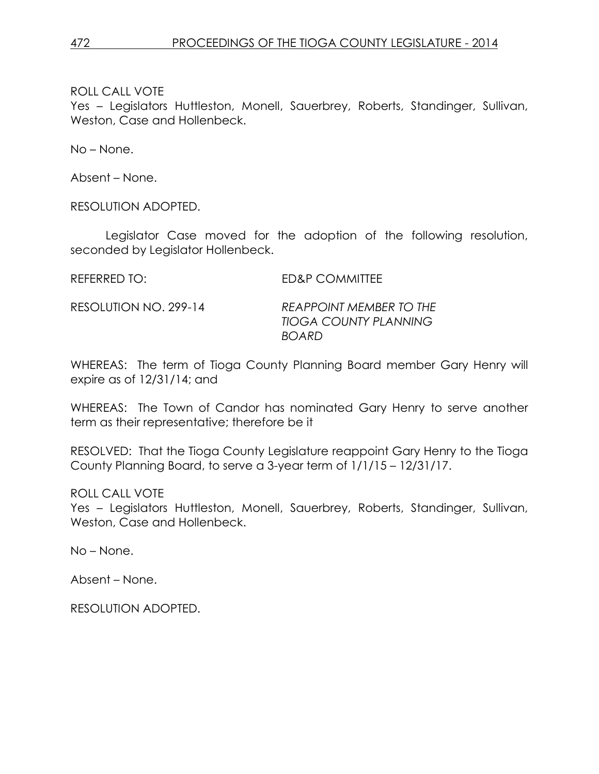Yes – Legislators Huttleston, Monell, Sauerbrey, Roberts, Standinger, Sullivan, Weston, Case and Hollenbeck.

No – None.

Absent – None.

RESOLUTION ADOPTED.

Legislator Case moved for the adoption of the following resolution, seconded by Legislator Hollenbeck.

REFERRED TO: ED&P COMMITTEE

RESOLUTION NO. 299-14 *REAPPOINT MEMBER TO THE TIOGA COUNTY PLANNING BOARD*

WHEREAS: The term of Tioga County Planning Board member Gary Henry will expire as of 12/31/14; and

WHEREAS: The Town of Candor has nominated Gary Henry to serve another term as their representative; therefore be it

RESOLVED: That the Tioga County Legislature reappoint Gary Henry to the Tioga County Planning Board, to serve a 3-year term of 1/1/15 – 12/31/17.

ROLL CALL VOTE

Yes – Legislators Huttleston, Monell, Sauerbrey, Roberts, Standinger, Sullivan, Weston, Case and Hollenbeck.

No – None.

Absent – None.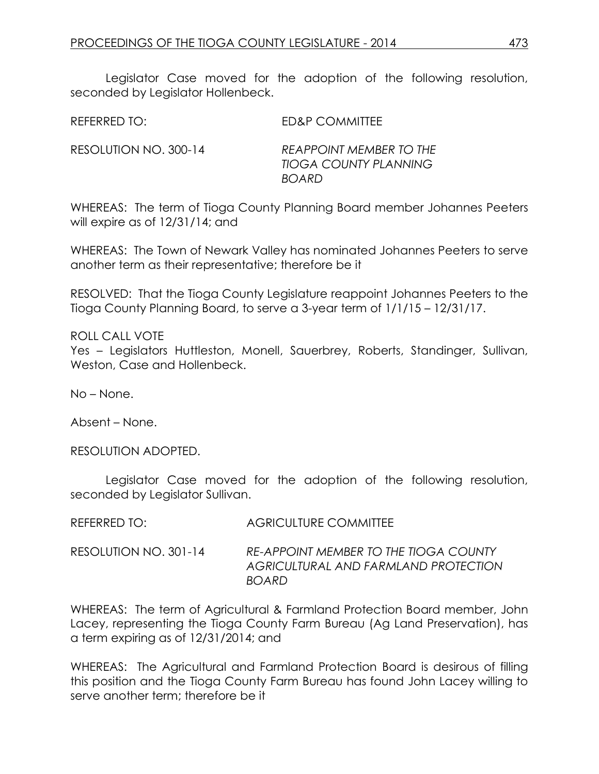Legislator Case moved for the adoption of the following resolution, seconded by Legislator Hollenbeck.

| REFERRED TO:          | ED&P COMMITTEE                                          |
|-----------------------|---------------------------------------------------------|
| RESOLUTION NO. 300-14 | REAPPOINT MEMBER TO THE<br><b>TIOGA COUNTY PLANNING</b> |

WHEREAS: The term of Tioga County Planning Board member Johannes Peeters will expire as of 12/31/14; and

*BOARD*

WHEREAS: The Town of Newark Valley has nominated Johannes Peeters to serve another term as their representative; therefore be it

RESOLVED: That the Tioga County Legislature reappoint Johannes Peeters to the Tioga County Planning Board, to serve a 3-year term of 1/1/15 – 12/31/17.

### ROLL CALL VOTE

Yes – Legislators Huttleston, Monell, Sauerbrey, Roberts, Standinger, Sullivan, Weston, Case and Hollenbeck.

No – None.

Absent – None.

RESOLUTION ADOPTED.

Legislator Case moved for the adoption of the following resolution, seconded by Legislator Sullivan.

| REFERRED TO: I        | <b>AGRICULTURE COMMITTEE</b>                                                                  |
|-----------------------|-----------------------------------------------------------------------------------------------|
| RESOLUTION NO. 301-14 | RE-APPOINT MEMBER TO THE TIOGA COUNTY<br>AGRICULTURAL AND FARMLAND PROTECTION<br><b>BOARD</b> |

WHEREAS: The term of Agricultural & Farmland Protection Board member, John Lacey, representing the Tioga County Farm Bureau (Ag Land Preservation), has a term expiring as of 12/31/2014; and

WHEREAS: The Agricultural and Farmland Protection Board is desirous of filling this position and the Tioga County Farm Bureau has found John Lacey willing to serve another term; therefore be it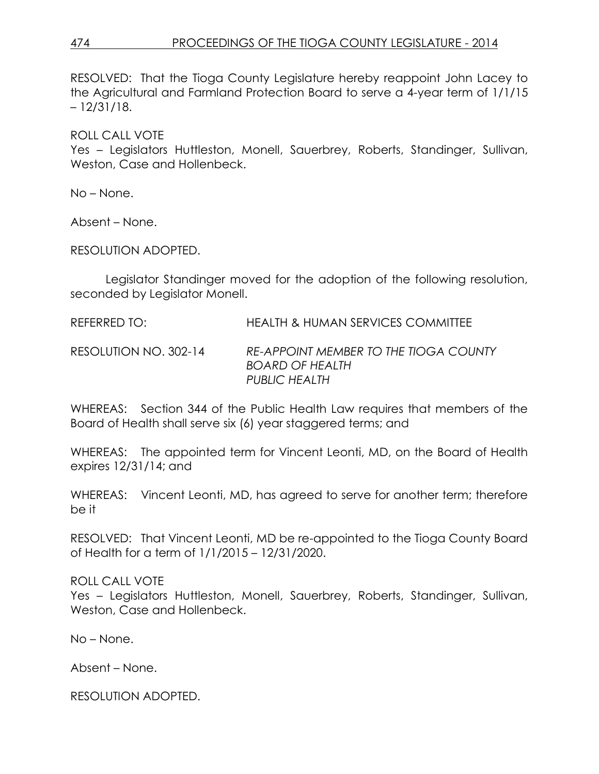# 474 PROCEEDINGS OF THE TIOGA COUNTY LEGISLATURE - 2014

RESOLVED: That the Tioga County Legislature hereby reappoint John Lacey to the Agricultural and Farmland Protection Board to serve a 4-year term of 1/1/15 – 12/31/18.

ROLL CALL VOTE

Yes – Legislators Huttleston, Monell, Sauerbrey, Roberts, Standinger, Sullivan, Weston, Case and Hollenbeck.

No – None.

Absent – None.

RESOLUTION ADOPTED.

Legislator Standinger moved for the adoption of the following resolution, seconded by Legislator Monell.

REFERRED TO: HEALTH & HUMAN SERVICES COMMITTEE

RESOLUTION NO. 302-14 *RE-APPOINT MEMBER TO THE TIOGA COUNTY BOARD OF HEALTH PUBLIC HEALTH*

WHEREAS: Section 344 of the Public Health Law requires that members of the Board of Health shall serve six (6) year staggered terms; and

WHEREAS: The appointed term for Vincent Leonti, MD, on the Board of Health expires 12/31/14; and

WHEREAS: Vincent Leonti, MD, has agreed to serve for another term; therefore be it

RESOLVED: That Vincent Leonti, MD be re-appointed to the Tioga County Board of Health for a term of 1/1/2015 – 12/31/2020.

ROLL CALL VOTE

Yes – Legislators Huttleston, Monell, Sauerbrey, Roberts, Standinger, Sullivan, Weston, Case and Hollenbeck.

No – None.

Absent – None.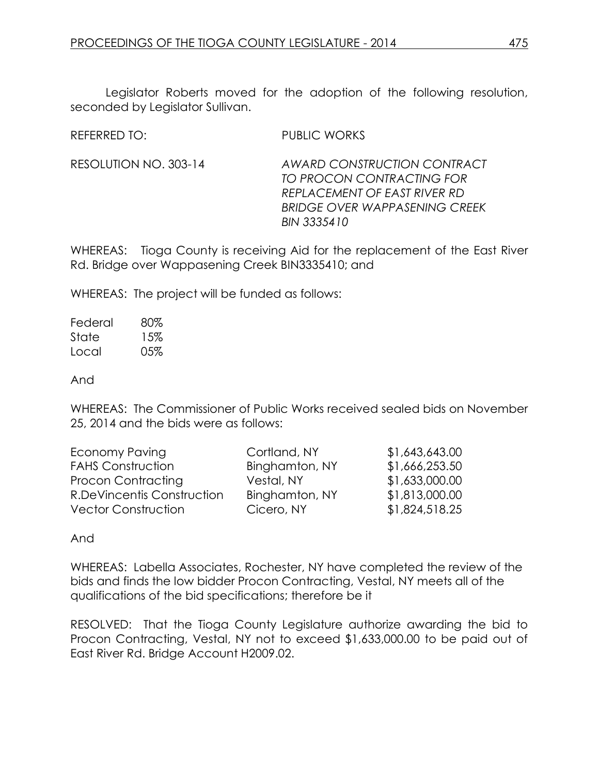Legislator Roberts moved for the adoption of the following resolution, seconded by Legislator Sullivan.

REFERRED TO: PUBLIC WORKS

RESOLUTION NO. 303-14 *AWARD CONSTRUCTION CONTRACT TO PROCON CONTRACTING FOR REPLACEMENT OF EAST RIVER RD BRIDGE OVER WAPPASENING CREEK BIN 3335410*

WHEREAS: Tioga County is receiving Aid for the replacement of the East River Rd. Bridge over Wappasening Creek BIN3335410; and

WHEREAS: The project will be funded as follows:

Federal 80% State 15% Local 05%

And

WHEREAS: The Commissioner of Public Works received sealed bids on November 25, 2014 and the bids were as follows:

| Economy Paving             | Cortland, NY   | \$1,643,643.00 |
|----------------------------|----------------|----------------|
| <b>FAHS Construction</b>   | Binghamton, NY | \$1,666,253.50 |
| Procon Contracting         | Vestal, NY     | \$1,633,000.00 |
| R.DeVincentis Construction | Binghamton, NY | \$1,813,000.00 |
| <b>Vector Construction</b> | Cicero, NY     | \$1,824,518.25 |

And

WHEREAS: Labella Associates, Rochester, NY have completed the review of the bids and finds the low bidder Procon Contracting, Vestal, NY meets all of the qualifications of the bid specifications; therefore be it

RESOLVED: That the Tioga County Legislature authorize awarding the bid to Procon Contracting, Vestal, NY not to exceed \$1,633,000.00 to be paid out of East River Rd. Bridge Account H2009.02.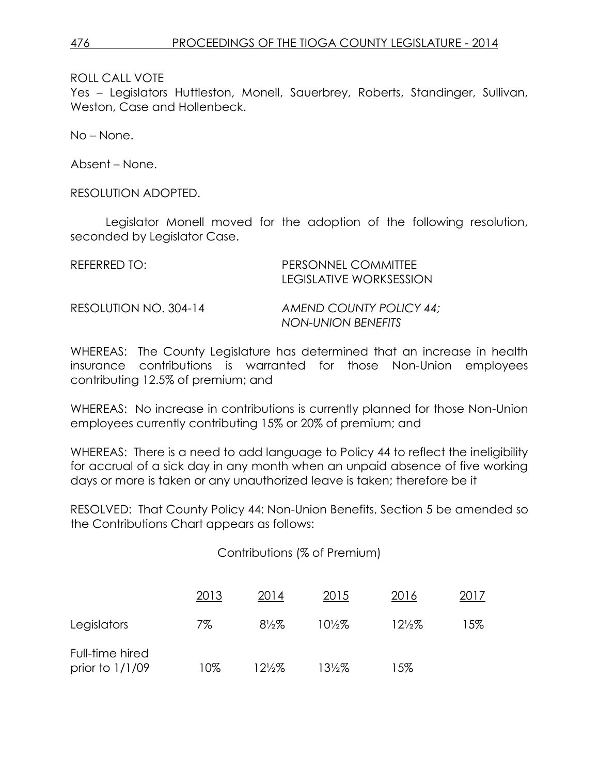Yes – Legislators Huttleston, Monell, Sauerbrey, Roberts, Standinger, Sullivan, Weston, Case and Hollenbeck.

No – None.

Absent – None.

RESOLUTION ADOPTED.

Legislator Monell moved for the adoption of the following resolution, seconded by Legislator Case.

| REFERRED TO:          | PERSONNEL COMMITTEE<br>LEGISLATIVE WORKSESSION |
|-----------------------|------------------------------------------------|
| RESOLUTION NO. 304-14 | AMEND COUNTY POLICY 44:<br>NON-UNION BENEFITS  |

WHEREAS: The County Legislature has determined that an increase in health insurance contributions is warranted for those Non-Union employees contributing 12.5% of premium; and

WHEREAS: No increase in contributions is currently planned for those Non-Union employees currently contributing 15% or 20% of premium; and

WHEREAS: There is a need to add language to Policy 44 to reflect the ineligibility for accrual of a sick day in any month when an unpaid absence of five working days or more is taken or any unauthorized leave is taken; therefore be it

RESOLVED: That County Policy 44: Non-Union Benefits, Section 5 be amended so the Contributions Chart appears as follows:

Contributions (% of Premium)

|                                      | 2013 | 2014             | 2015              | 2016            | 2017 |
|--------------------------------------|------|------------------|-------------------|-----------------|------|
| Legislators                          | 7%   | $8\frac{1}{2}\%$ | $10\frac{1}{2}\%$ | $12\frac{2}{2}$ | 15%  |
| Full-time hired<br>prior to $1/1/09$ | 10%  | 12½%             | $13\frac{1}{2}\%$ | 15%             |      |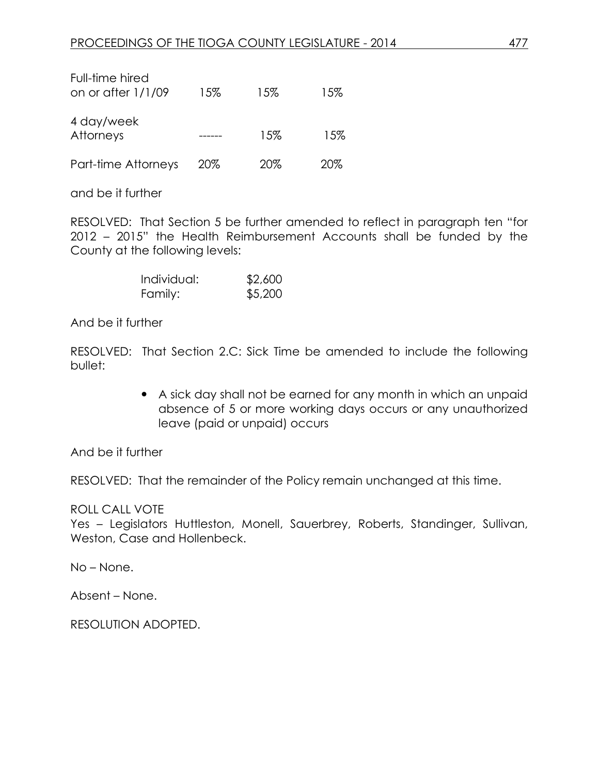| Full-time hired<br>on or after $1/1/09$ | 15% | 15% | 15% |
|-----------------------------------------|-----|-----|-----|
| 4 day/week<br>Attorneys                 |     | 15% | 15% |
| Part-time Attorneys                     | 20% | 20% | 20% |

and be it further

RESOLVED: That Section 5 be further amended to reflect in paragraph ten "for 2012 – 2015" the Health Reimbursement Accounts shall be funded by the County at the following levels:

| Individual: | \$2,600 |
|-------------|---------|
| Family:     | \$5,200 |

And be it further

RESOLVED: That Section 2.C: Sick Time be amended to include the following bullet:

> A sick day shall not be earned for any month in which an unpaid absence of 5 or more working days occurs or any unauthorized leave (paid or unpaid) occurs

And be it further

RESOLVED: That the remainder of the Policy remain unchanged at this time.

### ROLL CALL VOTE

Yes – Legislators Huttleston, Monell, Sauerbrey, Roberts, Standinger, Sullivan, Weston, Case and Hollenbeck.

No – None.

Absent – None.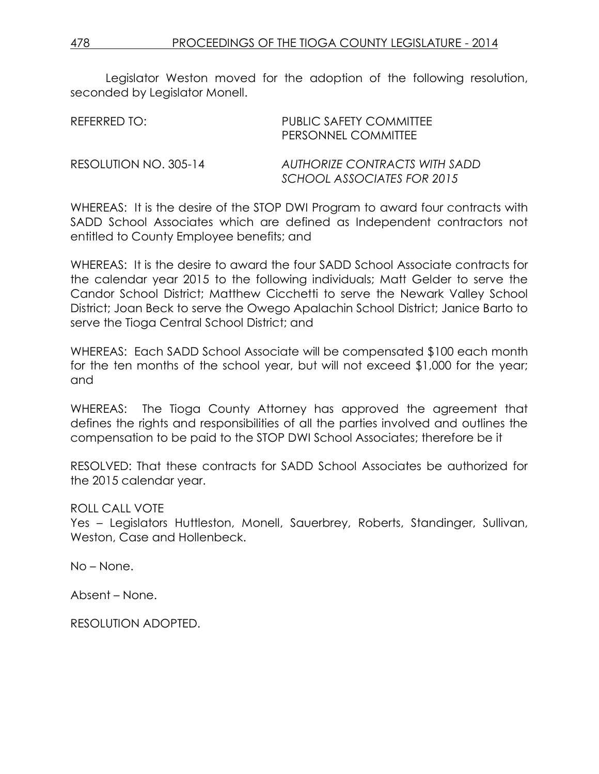Legislator Weston moved for the adoption of the following resolution, seconded by Legislator Monell.

| REFERRED TO:          | PUBLIC SAFETY COMMITTEE<br><b>PERSONNEL COMMITTEE</b>       |
|-----------------------|-------------------------------------------------------------|
| RESOLUTION NO. 305-14 | AUTHORIZE CONTRACTS WITH SADD<br>SCHOOL ASSOCIATES FOR 2015 |

WHEREAS: It is the desire of the STOP DWI Program to award four contracts with SADD School Associates which are defined as Independent contractors not entitled to County Employee benefits; and

WHEREAS: It is the desire to award the four SADD School Associate contracts for the calendar year 2015 to the following individuals; Matt Gelder to serve the Candor School District; Matthew Cicchetti to serve the Newark Valley School District; Joan Beck to serve the Owego Apalachin School District; Janice Barto to serve the Tioga Central School District; and

WHEREAS: Each SADD School Associate will be compensated \$100 each month for the ten months of the school year, but will not exceed \$1,000 for the year; and

WHEREAS: The Tioga County Attorney has approved the agreement that defines the rights and responsibilities of all the parties involved and outlines the compensation to be paid to the STOP DWI School Associates; therefore be it

RESOLVED: That these contracts for SADD School Associates be authorized for the 2015 calendar year.

ROLL CALL VOTE

Yes – Legislators Huttleston, Monell, Sauerbrey, Roberts, Standinger, Sullivan, Weston, Case and Hollenbeck.

No – None.

Absent – None.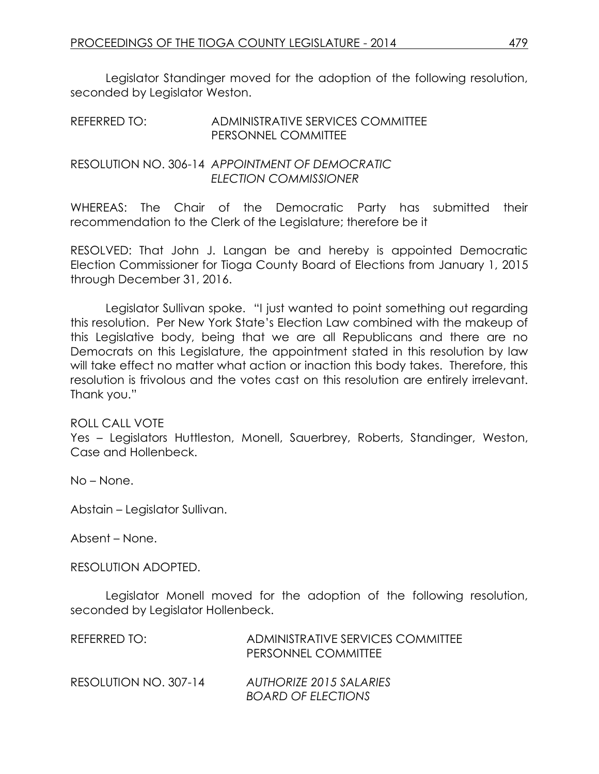Legislator Standinger moved for the adoption of the following resolution, seconded by Legislator Weston.

| REFERRED TO: | ADMINISTRATIVE SERVICES COMMITTEE |
|--------------|-----------------------------------|
|              | <b>PERSONNEL COMMITTEE</b>        |

RESOLUTION NO. 306-14 *APPOINTMENT OF DEMOCRATIC ELECTION COMMISSIONER*

WHEREAS: The Chair of the Democratic Party has submitted their recommendation to the Clerk of the Legislature; therefore be it

RESOLVED: That John J. Langan be and hereby is appointed Democratic Election Commissioner for Tioga County Board of Elections from January 1, 2015 through December 31, 2016.

Legislator Sullivan spoke. "I just wanted to point something out regarding this resolution. Per New York State's Election Law combined with the makeup of this Legislative body, being that we are all Republicans and there are no Democrats on this Legislature, the appointment stated in this resolution by law will take effect no matter what action or inaction this body takes. Therefore, this resolution is frivolous and the votes cast on this resolution are entirely irrelevant. Thank you."

### ROLL CALL VOTE

Yes – Legislators Huttleston, Monell, Sauerbrey, Roberts, Standinger, Weston, Case and Hollenbeck.

No – None.

Abstain – Legislator Sullivan.

Absent – None.

RESOLUTION ADOPTED.

Legislator Monell moved for the adoption of the following resolution, seconded by Legislator Hollenbeck.

| REFERRED TO:          | ADMINISTRATIVE SERVICES COMMITTEE<br>PERSONNEL COMMITTEE |
|-----------------------|----------------------------------------------------------|
| RESOLUTION NO. 307-14 | AUTHORIZE 2015 SALARIES<br><b>BOARD OF ELECTIONS</b>     |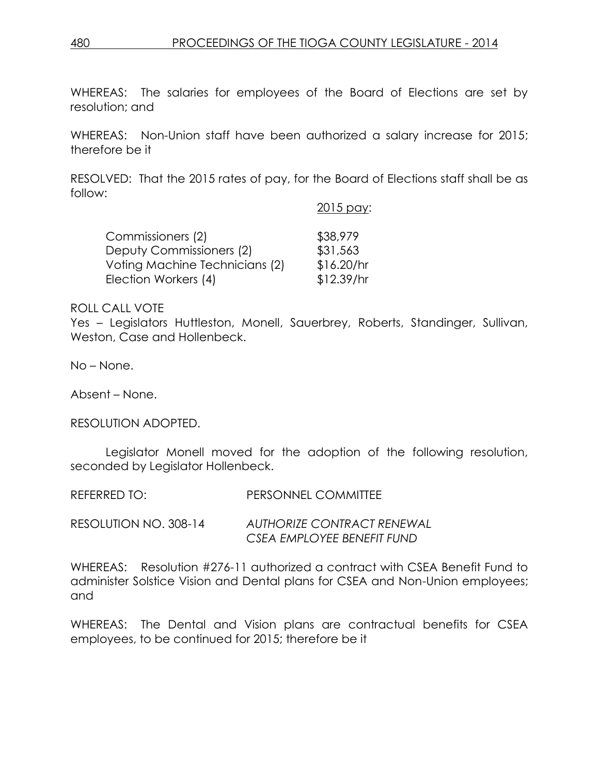WHEREAS: The salaries for employees of the Board of Elections are set by resolution; and

WHEREAS: Non-Union staff have been authorized a salary increase for 2015; therefore be it

RESOLVED: That the 2015 rates of pay, for the Board of Elections staff shall be as follow:

# 2015 pay: Commissioners (2) \$38,979 Deputy Commissioners (2) \$31,563 Voting Machine Technicians (2) \$16.20/hr Election Workers (4) \$12.39/hr

### ROLL CALL VOTE

Yes – Legislators Huttleston, Monell, Sauerbrey, Roberts, Standinger, Sullivan, Weston, Case and Hollenbeck.

No – None.

Absent – None.

RESOLUTION ADOPTED.

Legislator Monell moved for the adoption of the following resolution, seconded by Legislator Hollenbeck.

REFERRED TO: PERSONNEL COMMITTEE

RESOLUTION NO. 308-14 *AUTHORIZE CONTRACT RENEWAL CSEA EMPLOYEE BENEFIT FUND*

WHEREAS: Resolution #276-11 authorized a contract with CSEA Benefit Fund to administer Solstice Vision and Dental plans for CSEA and Non-Union employees; and

WHEREAS: The Dental and Vision plans are contractual benefits for CSEA employees, to be continued for 2015; therefore be it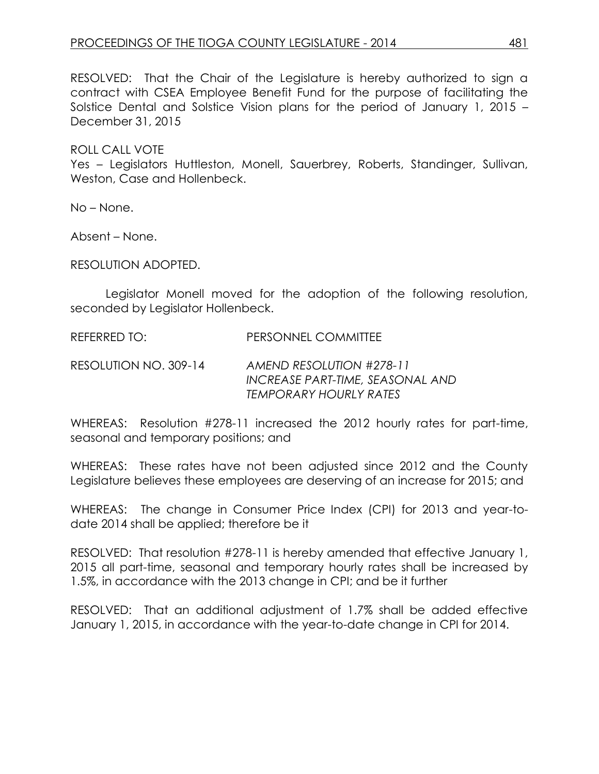RESOLVED: That the Chair of the Legislature is hereby authorized to sign a contract with CSEA Employee Benefit Fund for the purpose of facilitating the Solstice Dental and Solstice Vision plans for the period of January 1, 2015 – December 31, 2015

ROLL CALL VOTE Yes – Legislators Huttleston, Monell, Sauerbrey, Roberts, Standinger, Sullivan, Weston, Case and Hollenbeck.

No – None.

Absent – None.

RESOLUTION ADOPTED.

Legislator Monell moved for the adoption of the following resolution, seconded by Legislator Hollenbeck.

REFERRED TO: PERSONNEL COMMITTEE

RESOLUTION NO. 309-14 *AMEND RESOLUTION #278-11 INCREASE PART-TIME, SEASONAL AND TEMPORARY HOURLY RATES*

WHEREAS: Resolution #278-11 increased the 2012 hourly rates for part-time, seasonal and temporary positions; and

WHEREAS: These rates have not been adjusted since 2012 and the County Legislature believes these employees are deserving of an increase for 2015; and

WHEREAS: The change in Consumer Price Index (CPI) for 2013 and year-todate 2014 shall be applied; therefore be it

RESOLVED: That resolution #278-11 is hereby amended that effective January 1, 2015 all part-time, seasonal and temporary hourly rates shall be increased by 1.5%, in accordance with the 2013 change in CPI; and be it further

RESOLVED: That an additional adjustment of 1.7% shall be added effective January 1, 2015, in accordance with the year-to-date change in CPI for 2014.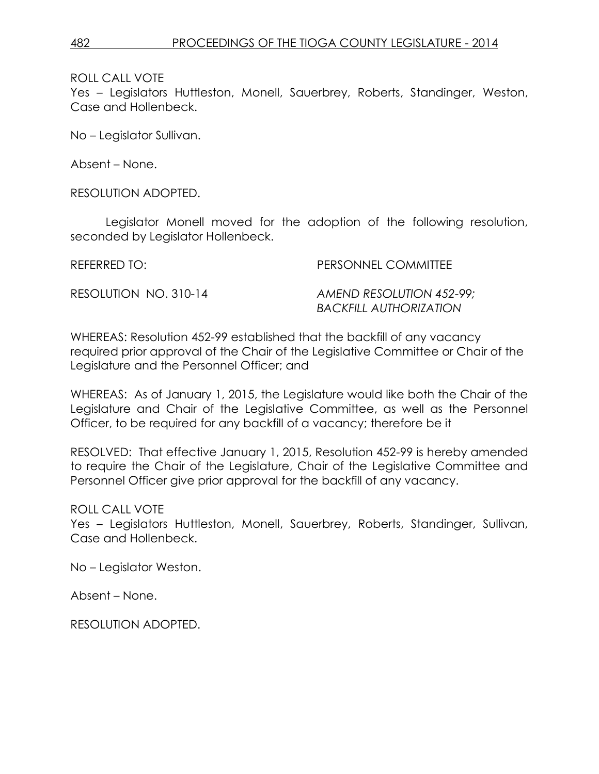Yes – Legislators Huttleston, Monell, Sauerbrey, Roberts, Standinger, Weston, Case and Hollenbeck.

No – Legislator Sullivan.

Absent – None.

RESOLUTION ADOPTED.

Legislator Monell moved for the adoption of the following resolution, seconded by Legislator Hollenbeck.

REFERRED TO: PERSONNEL COMMITTEE

RESOLUTION NO. 310-14 *AMEND RESOLUTION 452-99; BACKFILL AUTHORIZATION*

WHEREAS: Resolution 452-99 established that the backfill of any vacancy required prior approval of the Chair of the Legislative Committee or Chair of the Legislature and the Personnel Officer; and

WHEREAS: As of January 1, 2015, the Legislature would like both the Chair of the Legislature and Chair of the Legislative Committee, as well as the Personnel Officer, to be required for any backfill of a vacancy; therefore be it

RESOLVED: That effective January 1, 2015, Resolution 452-99 is hereby amended to require the Chair of the Legislature, Chair of the Legislative Committee and Personnel Officer give prior approval for the backfill of any vacancy.

ROLL CALL VOTE

Yes – Legislators Huttleston, Monell, Sauerbrey, Roberts, Standinger, Sullivan, Case and Hollenbeck.

No – Legislator Weston.

Absent – None.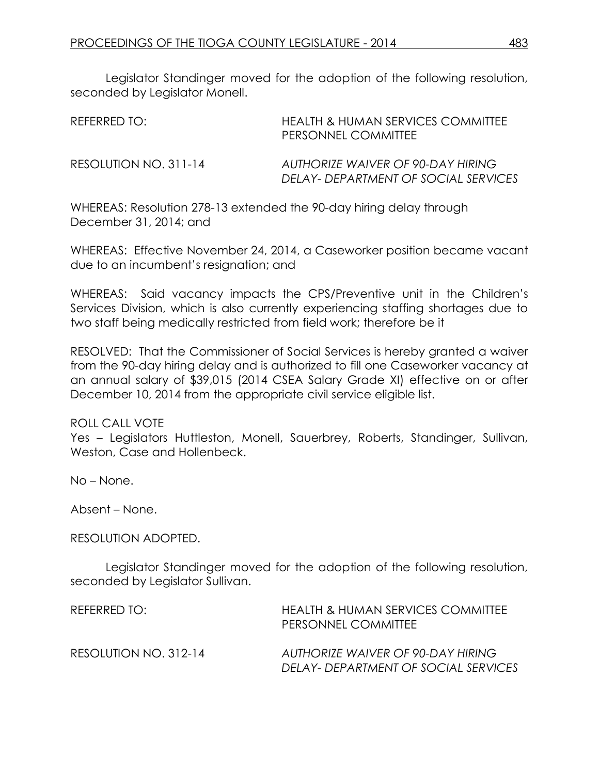Legislator Standinger moved for the adoption of the following resolution, seconded by Legislator Monell.

| REFERRED TO:          | HEALTH & HUMAN SERVICES COMMITTEE<br>PERSONNEL COMMITTEE                  |
|-----------------------|---------------------------------------------------------------------------|
| RESOLUTION NO. 311-14 | AUTHORIZE WAIVER OF 90-DAY HIRING<br>DELAY- DEPARTMENT OF SOCIAL SERVICES |

WHEREAS: Resolution 278-13 extended the 90-day hiring delay through December 31, 2014; and

WHEREAS: Effective November 24, 2014, a Caseworker position became vacant due to an incumbent's resignation; and

WHEREAS: Said vacancy impacts the CPS/Preventive unit in the Children's Services Division, which is also currently experiencing staffing shortages due to two staff being medically restricted from field work; therefore be it

RESOLVED: That the Commissioner of Social Services is hereby granted a waiver from the 90-day hiring delay and is authorized to fill one Caseworker vacancy at an annual salary of \$39,015 (2014 CSEA Salary Grade XI) effective on or after December 10, 2014 from the appropriate civil service eligible list.

### ROLL CALL VOTE

Yes – Legislators Huttleston, Monell, Sauerbrey, Roberts, Standinger, Sullivan, Weston, Case and Hollenbeck.

No – None.

Absent – None.

### RESOLUTION ADOPTED.

Legislator Standinger moved for the adoption of the following resolution, seconded by Legislator Sullivan.

| REFERRED TO:          | HEALTH & HUMAN SERVICES COMMITTEE<br>PERSONNEL COMMITTEE                  |
|-----------------------|---------------------------------------------------------------------------|
| RESOLUTION NO. 312-14 | AUTHORIZE WAIVER OF 90-DAY HIRING<br>DELAY- DEPARTMENT OF SOCIAL SERVICES |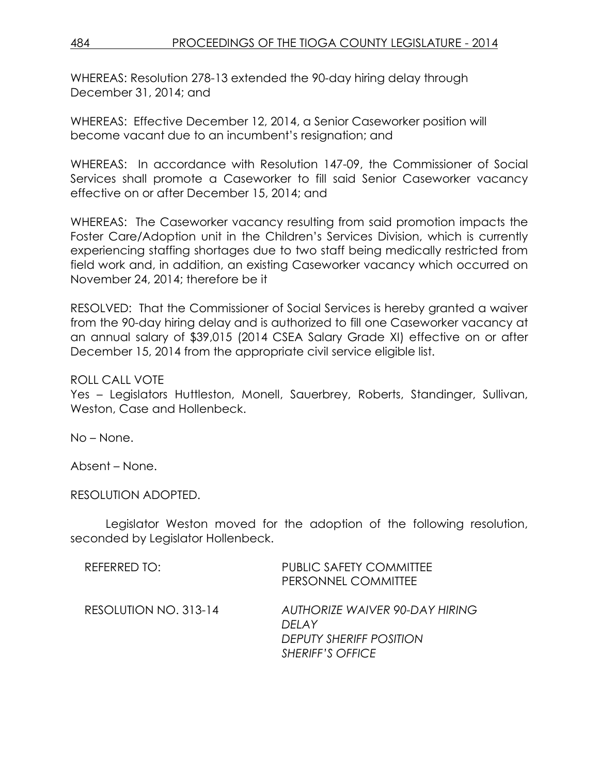WHEREAS: Resolution 278-13 extended the 90-day hiring delay through December 31, 2014; and

WHEREAS: Effective December 12, 2014, a Senior Caseworker position will become vacant due to an incumbent's resignation; and

WHEREAS: In accordance with Resolution 147-09, the Commissioner of Social Services shall promote a Caseworker to fill said Senior Caseworker vacancy effective on or after December 15, 2014; and

WHEREAS: The Caseworker vacancy resulting from said promotion impacts the Foster Care/Adoption unit in the Children's Services Division, which is currently experiencing staffing shortages due to two staff being medically restricted from field work and, in addition, an existing Caseworker vacancy which occurred on November 24, 2014; therefore be it

RESOLVED: That the Commissioner of Social Services is hereby granted a waiver from the 90-day hiring delay and is authorized to fill one Caseworker vacancy at an annual salary of \$39,015 (2014 CSEA Salary Grade XI) effective on or after December 15, 2014 from the appropriate civil service eligible list.

ROLL CALL VOTE

Yes – Legislators Huttleston, Monell, Sauerbrey, Roberts, Standinger, Sullivan, Weston, Case and Hollenbeck.

No – None.

Absent – None.

RESOLUTION ADOPTED.

Legislator Weston moved for the adoption of the following resolution, seconded by Legislator Hollenbeck.

| <b>REFERRED TO:</b>   | <b>PUBLIC SAFETY COMMITTEE</b><br>PERSONNEL COMMITTEE                                          |
|-----------------------|------------------------------------------------------------------------------------------------|
| RESOLUTION NO. 313-14 | AUTHORIZE WAIVER 90-DAY HIRING<br>DEI AY<br>DEPUTY SHERIFF POSITION<br><b>SHERIFF'S OFFICE</b> |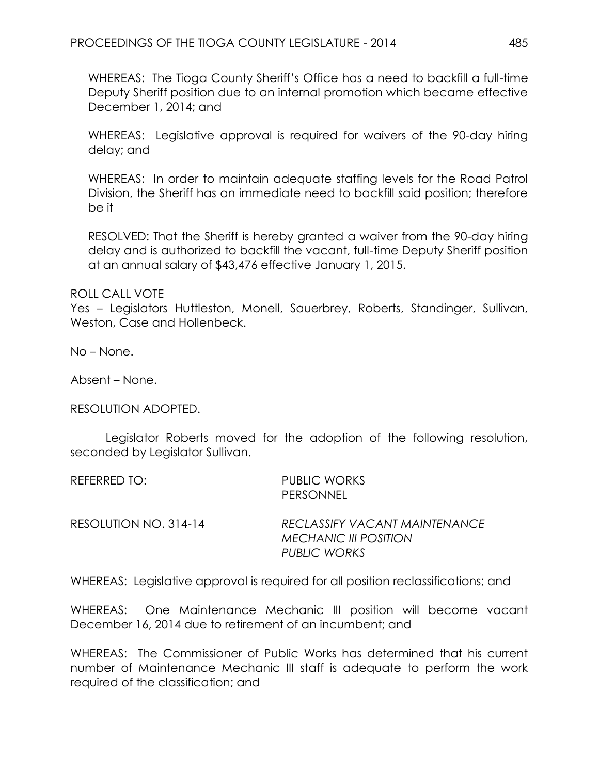WHEREAS: The Tioga County Sheriff's Office has a need to backfill a full-time Deputy Sheriff position due to an internal promotion which became effective December 1, 2014; and

WHEREAS: Legislative approval is required for waivers of the 90-day hiring delay; and

WHEREAS: In order to maintain adequate staffing levels for the Road Patrol Division, the Sheriff has an immediate need to backfill said position; therefore be it

RESOLVED: That the Sheriff is hereby granted a waiver from the 90-day hiring delay and is authorized to backfill the vacant, full-time Deputy Sheriff position at an annual salary of \$43,476 effective January 1, 2015.

ROLL CALL VOTE

Yes – Legislators Huttleston, Monell, Sauerbrey, Roberts, Standinger, Sullivan, Weston, Case and Hollenbeck.

No – None.

Absent – None.

RESOLUTION ADOPTED.

Legislator Roberts moved for the adoption of the following resolution, seconded by Legislator Sullivan.

REFERRED TO: PUBLIC WORKS

PERSONNEL

RESOLUTION NO. 314-14 *RECLASSIFY VACANT MAINTENANCE MECHANIC III POSITION PUBLIC WORKS*

WHEREAS: Legislative approval is required for all position reclassifications; and

WHEREAS: One Maintenance Mechanic III position will become vacant December 16, 2014 due to retirement of an incumbent; and

WHEREAS: The Commissioner of Public Works has determined that his current number of Maintenance Mechanic III staff is adequate to perform the work required of the classification; and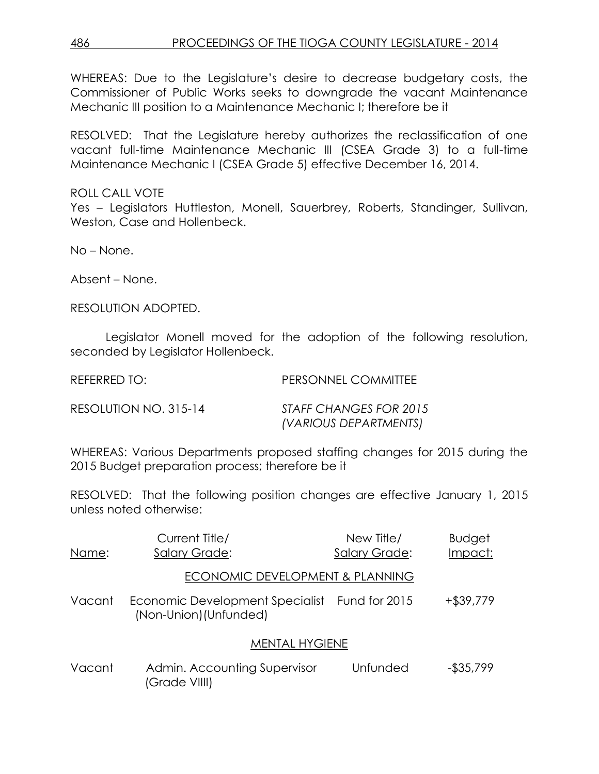WHEREAS: Due to the Legislature's desire to decrease budgetary costs, the Commissioner of Public Works seeks to downgrade the vacant Maintenance Mechanic III position to a Maintenance Mechanic I; therefore be it

RESOLVED: That the Legislature hereby authorizes the reclassification of one vacant full-time Maintenance Mechanic III (CSEA Grade 3) to a full-time Maintenance Mechanic I (CSEA Grade 5) effective December 16, 2014.

ROLL CALL VOTE Yes – Legislators Huttleston, Monell, Sauerbrey, Roberts, Standinger, Sullivan, Weston, Case and Hollenbeck.

No – None.

Absent – None.

RESOLUTION ADOPTED.

Legislator Monell moved for the adoption of the following resolution, seconded by Legislator Hollenbeck.

REFERRED TO: PERSONNEL COMMITTEE

RESOLUTION NO. 315-14 *STAFF CHANGES FOR 2015 (VARIOUS DEPARTMENTS)*

WHEREAS: Various Departments proposed staffing changes for 2015 during the 2015 Budget preparation process; therefore be it

RESOLVED: That the following position changes are effective January 1, 2015 unless noted otherwise:

| Name:  | Current Title/<br><b>Salary Grade:</b>                                  | New Title/<br><b>Salary Grade:</b> | <b>Budget</b><br>Impact: |
|--------|-------------------------------------------------------------------------|------------------------------------|--------------------------|
|        | ECONOMIC DEVELOPMENT & PLANNING                                         |                                    |                          |
| Vacant | Economic Development Specialist Fund for 2015<br>(Non-Union) (Unfunded) |                                    | $+$ \$39,779             |
|        | <b>MENTAL HYGIENE</b>                                                   |                                    |                          |
| Vacant | Admin. Accounting Supervisor<br>(Grade VIIII)                           | Unfunded                           | $-$ \$35,799             |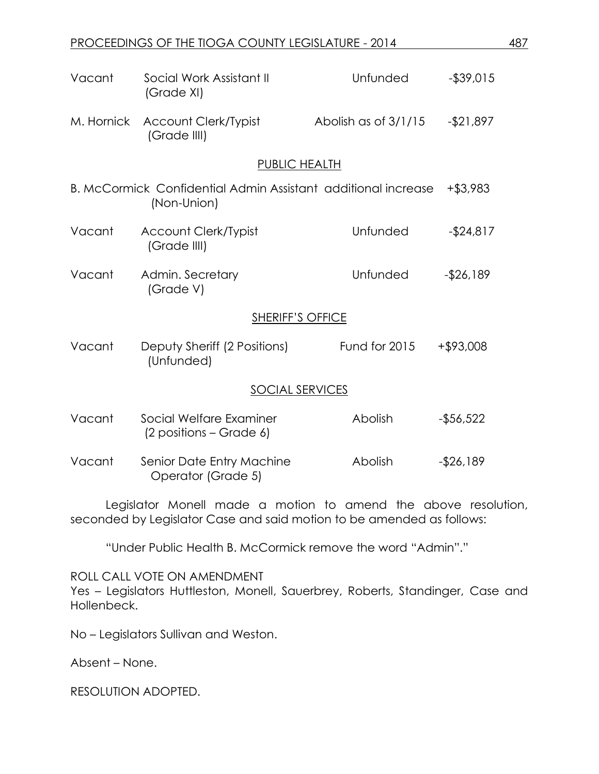| Vacant                  | Social Work Assistant II<br>(Grade XI)                                       | Unfunded             | $-$ \$39,015 |  |
|-------------------------|------------------------------------------------------------------------------|----------------------|--------------|--|
| M. Hornick              | Account Clerk/Typist<br>(Grade IIII)                                         | Abolish as of 3/1/15 | $-$ \$21,897 |  |
|                         | PUBLIC HEALTH                                                                |                      |              |  |
|                         | B. McCormick Confidential Admin Assistant additional increase<br>(Non-Union) |                      | +\$3,983     |  |
| Vacant                  | <b>Account Clerk/Typist</b><br>(Grade IIII)                                  | Unfunded             | $-$ \$24,817 |  |
| Vacant                  | Admin. Secretary<br>(Grade V)                                                | Unfunded             | $-$ \$26,189 |  |
| <b>SHERIFF'S OFFICE</b> |                                                                              |                      |              |  |
| Vacant                  | Deputy Sheriff (2 Positions)<br>(Unfunded)                                   | Fund for 2015        | +\$93,008    |  |
| SOCIAL SERVICES         |                                                                              |                      |              |  |
| Vacant                  | Social Welfare Examiner<br>(2 positions – Grade 6)                           | Abolish              | $-$56,522$   |  |
| Vacant                  | Senior Date Entry Machine<br>Operator (Grade 5)                              | Abolish              | $-$26,189$   |  |

Legislator Monell made a motion to amend the above resolution, seconded by Legislator Case and said motion to be amended as follows:

"Under Public Health B. McCormick remove the word "Admin"."

ROLL CALL VOTE ON AMENDMENT

Yes – Legislators Huttleston, Monell, Sauerbrey, Roberts, Standinger, Case and Hollenbeck.

No – Legislators Sullivan and Weston.

Absent – None.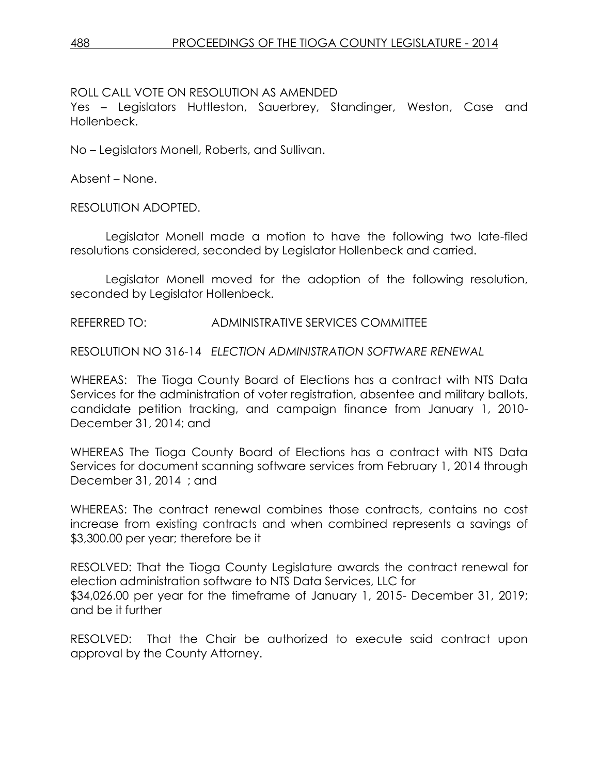### ROLL CALL VOTE ON RESOLUTION AS AMENDED

Yes – Legislators Huttleston, Sauerbrey, Standinger, Weston, Case and Hollenbeck.

No – Legislators Monell, Roberts, and Sullivan.

Absent – None.

RESOLUTION ADOPTED.

Legislator Monell made a motion to have the following two late-filed resolutions considered, seconded by Legislator Hollenbeck and carried.

Legislator Monell moved for the adoption of the following resolution, seconded by Legislator Hollenbeck.

REFERRED TO: ADMINISTRATIVE SERVICES COMMITTEE

RESOLUTION NO 316-14 *ELECTION ADMINISTRATION SOFTWARE RENEWAL* 

WHEREAS: The Tioga County Board of Elections has a contract with NTS Data Services for the administration of voter registration, absentee and military ballots, candidate petition tracking, and campaign finance from January 1, 2010- December 31, 2014; and

WHEREAS The Tioga County Board of Elections has a contract with NTS Data Services for document scanning software services from February 1, 2014 through December 31, 2014 ; and

WHEREAS: The contract renewal combines those contracts, contains no cost increase from existing contracts and when combined represents a savings of \$3,300.00 per year; therefore be it

RESOLVED: That the Tioga County Legislature awards the contract renewal for election administration software to NTS Data Services, LLC for \$34,026.00 per year for the timeframe of January 1, 2015- December 31, 2019; and be it further

RESOLVED: That the Chair be authorized to execute said contract upon approval by the County Attorney.